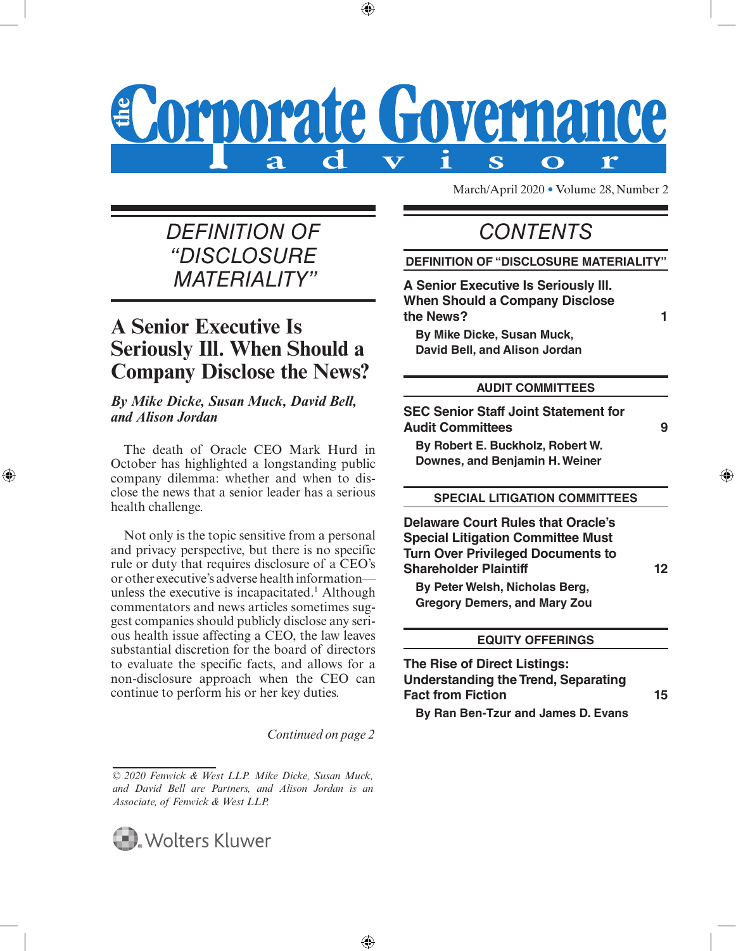### Corporate Governance Ť S  $\mathbf{r}$  $\mathbf \Omega$

⊕

### *DEFINITION OF CONTENTS "DISCLOSURE MATERIALITY"*

### <span id="page-0-0"></span>**A Senior Executive Is Seriously Ill. When Should a Company Disclose the News?**

### *By Mike Dicke, Susan Muck, David Bell, and Alison Jordan*

The death of Oracle CEO Mark Hurd in October has highlighted a longstanding public company dilemma: whether and when to disclose the news that a senior leader has a serious health challenge.

⊕

Not only is the topic sensitive from a personal and privacy perspective, but there is no specific rule or duty that requires disclosure of a CEO's or other executive's adverse health information unless the executive is incapacitated.<sup>1</sup> Although commentators and news articles sometimes suggest companies should publicly disclose any serious health issue affecting a CEO, the law leaves substantial discretion for the board of directors to evaluate the specific facts, and allows for a non-disclosure approach when the CEO can continue to perform his or her key duties.

*Continued on page 2*

*<sup>© 2020</sup> Fenwick & West LLP. Mike Dicke, Susan Muck, and David Bell are Partners, and Alison Jordan is an Associate, of Fenwick & West LLP.*



March/April 2020 • Volume 28, Number 2

### **DEFINITION OF "DISCLOSURE MATERIALITY"**

**A Senior Executive Is Seriously Ill. When Should a Company Disclose the News? [1](#page-0-0)**

**By Mike Dicke, Susan Muck, David Bell, and Alison Jordan**

#### **AUDIT COMMITTEES**

**SEC Senior Staff Joint Statement for Audit Committees [9](#page-8-0)**

⊕

**By Robert E. Buckholz, Robert W. Downes, and Benjamin H. Weiner**

### **SPECIAL LITIGATION COMMITTEES**

**Delaware Court Rules that Oracle's Special Litigation Committee Must Turn Over Privileged Documents to Shareholder Plaintiff [12](#page-11-0)**

**By Peter Welsh, Nicholas Berg, Gregory Demers, and Mary Zou**

### **EQUITY OFFERINGS**

**The Rise of Direct Listings: Understanding the Trend, Separating Fact from Fiction [15](#page-14-0)**

**By Ran Ben-Tzur and James D. Evans**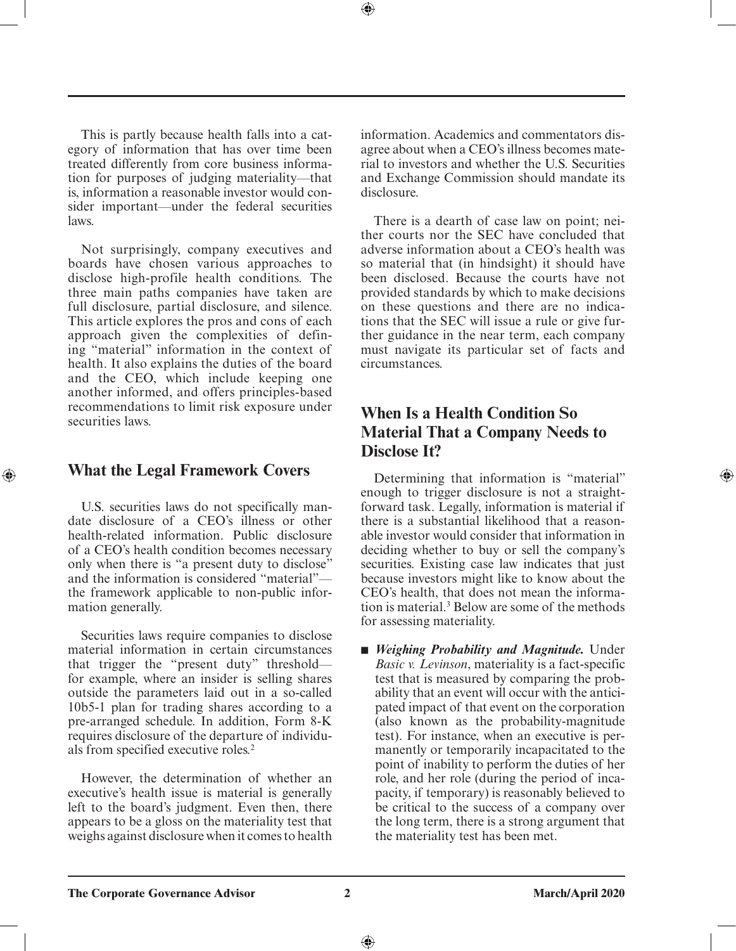This is partly because health falls into a category of information that has over time been treated differently from core business information for purposes of judging materiality—that is, information a reasonable investor would consider important—under the federal securities laws.

Not surprisingly, company executives and boards have chosen various approaches to disclose high-profile health conditions. The three main paths companies have taken are full disclosure, partial disclosure, and silence. This article explores the pros and cons of each approach given the complexities of defining "material" information in the context of health. It also explains the duties of the board and the CEO, which include keeping one another informed, and offers principles-based recommendations to limit risk exposure under securities laws.

### **What the Legal Framework Covers**

⊕

U.S. securities laws do not specifically mandate disclosure of a CEO's illness or other health-related information. Public disclosure of a CEO's health condition becomes necessary only when there is "a present duty to disclose" and the information is considered "material" the framework applicable to non-public information generally.

Securities laws require companies to disclose material information in certain circumstances that trigger the "present duty" threshold for example, where an insider is selling shares outside the parameters laid out in a so-called 10b5-1 plan for trading shares according to a pre-arranged schedule. In addition, Form 8-K requires disclosure of the departure of individuals from specified executive roles.2

However, the determination of whether an executive's health issue is material is generally left to the board's judgment. Even then, there appears to be a gloss on the materiality test that weighs against disclosure when it comes to health information. Academics and commentators disagree about when a CEO's illness becomes material to investors and whether the U.S. Securities and Exchange Commission should mandate its disclosure.

⊕

There is a dearth of case law on point; neither courts nor the SEC have concluded that adverse information about a CEO's health was so material that (in hindsight) it should have been disclosed. Because the courts have not provided standards by which to make decisions on these questions and there are no indications that the SEC will issue a rule or give further guidance in the near term, each company must navigate its particular set of facts and circumstances.

### **When Is a Health Condition So Material That a Company Needs to Disclose It?**

Determining that information is "material" enough to trigger disclosure is not a straightforward task. Legally, information is material if there is a substantial likelihood that a reasonable investor would consider that information in deciding whether to buy or sell the company's securities. Existing case law indicates that just because investors might like to know about the CEO's health, that does not mean the information is material.3 Below are some of the methods for assessing materiality.

■ *Weighing Probability and Magnitude*. Under *Basic v. Levinson*, materiality is a fact-specific test that is measured by comparing the probability that an event will occur with the anticipated impact of that event on the corporation (also known as the probability-magnitude test). For instance, when an executive is permanently or temporarily incapacitated to the point of inability to perform the duties of her role, and her role (during the period of incapacity, if temporary) is reasonably believed to be critical to the success of a company over the long term, there is a strong argument that the materiality test has been met.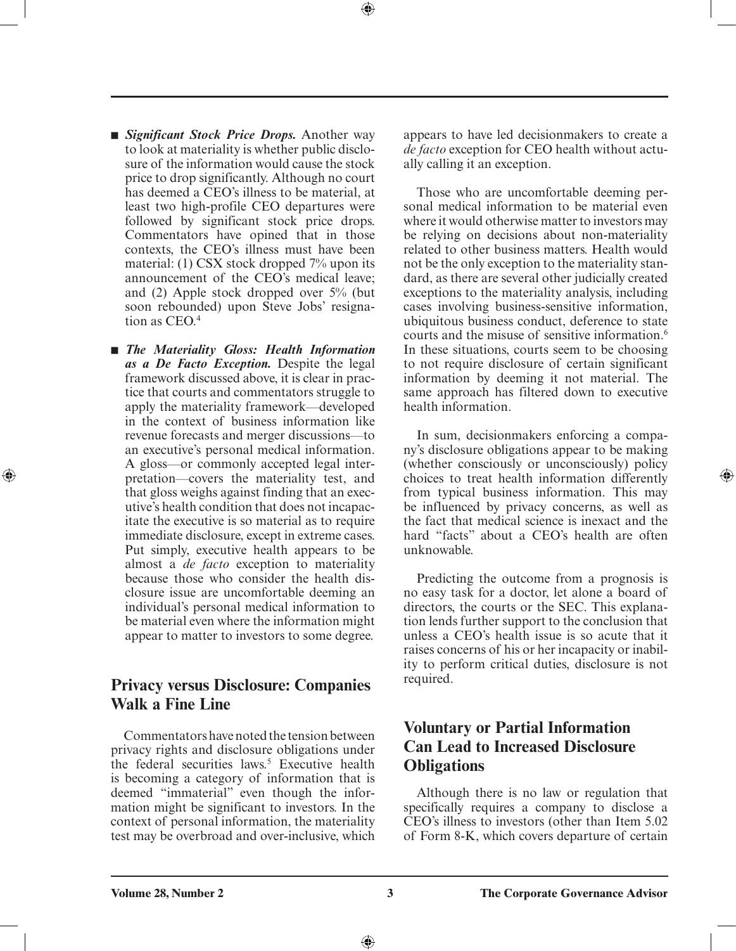- *Significant Stock Price Drops*. Another way to look at materiality is whether public disclosure of the information would cause the stock price to drop significantly. Although no court has deemed a CEO's illness to be material, at least two high-profile CEO departures were followed by significant stock price drops. Commentators have opined that in those contexts, the CEO's illness must have been material: (1) CSX stock dropped 7% upon its announcement of the CEO's medical leave; and (2) Apple stock dropped over 5% (but soon rebounded) upon Steve Jobs' resignation as CEO.4
- *The Materiality Gloss: Health Information as a De Facto Exception.* Despite the legal framework discussed above, it is clear in practice that courts and commentators struggle to apply the materiality framework—developed in the context of business information like revenue forecasts and merger discussions—to an executive's personal medical information. A gloss—or commonly accepted legal interpretation—covers the materiality test, and that gloss weighs against finding that an executive's health condition that does not incapacitate the executive is so material as to require immediate disclosure, except in extreme cases. Put simply, executive health appears to be almost a *de facto* exception to materiality because those who consider the health disclosure issue are uncomfortable deeming an individual's personal medical information to be material even where the information might appear to matter to investors to some degree.

⊕

### **Privacy versus Disclosure: Companies Walk a Fine Line**

Commentators have noted the tension between privacy rights and disclosure obligations under the federal securities laws.<sup>5</sup> Executive health is becoming a category of information that is deemed "immaterial" even though the information might be significant to investors. In the context of personal information, the materiality test may be overbroad and over-inclusive, which

appears to have led decisionmakers to create a *de facto* exception for CEO health without actually calling it an exception.

Those who are uncomfortable deeming personal medical information to be material even where it would otherwise matter to investors may be relying on decisions about non-materiality related to other business matters. Health would not be the only exception to the materiality standard, as there are several other judicially created exceptions to the materiality analysis, including cases involving business-sensitive information, ubiquitous business conduct, deference to state courts and the misuse of sensitive information.<sup>6</sup> In these situations, courts seem to be choosing to not require disclosure of certain significant information by deeming it not material. The same approach has filtered down to executive health information.

In sum, decisionmakers enforcing a company's disclosure obligations appear to be making (whether consciously or unconsciously) policy choices to treat health information differently from typical business information. This may be influenced by privacy concerns, as well as the fact that medical science is inexact and the hard "facts" about a CEO's health are often unknowable.

⊕

Predicting the outcome from a prognosis is no easy task for a doctor, let alone a board of directors, the courts or the SEC. This explanation lends further support to the conclusion that unless a CEO's health issue is so acute that it raises concerns of his or her incapacity or inability to perform critical duties, disclosure is not required.

### **Voluntary or Partial Information Can Lead to Increased Disclosure Obligations**

Although there is no law or regulation that specifically requires a company to disclose a CEO's illness to investors (other than Item 5.02 of Form 8-K, which covers departure of certain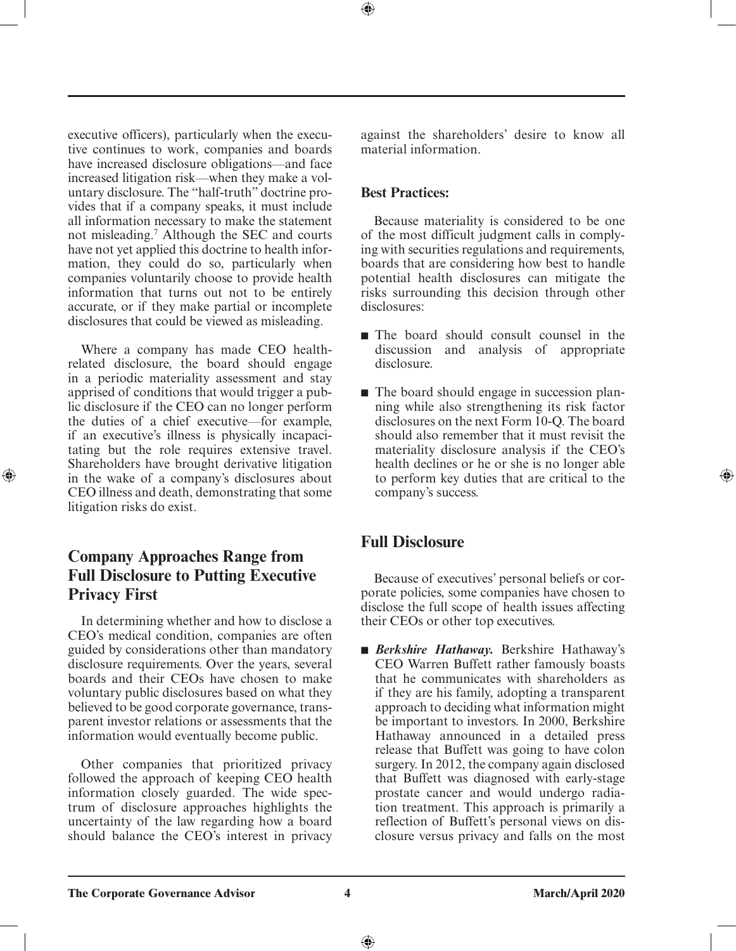executive officers), particularly when the executive continues to work, companies and boards have increased disclosure obligations—and face increased litigation risk—when they make a voluntary disclosure. The "half-truth" doctrine provides that if a company speaks, it must include all information necessary to make the statement not misleading.7 Although the SEC and courts have not yet applied this doctrine to health information, they could do so, particularly when companies voluntarily choose to provide health information that turns out not to be entirely accurate, or if they make partial or incomplete disclosures that could be viewed as misleading.

Where a company has made CEO healthrelated disclosure, the board should engage in a periodic materiality assessment and stay apprised of conditions that would trigger a public disclosure if the CEO can no longer perform the duties of a chief executive—for example, if an executive's illness is physically incapacitating but the role requires extensive travel. Shareholders have brought derivative litigation in the wake of a company's disclosures about CEO illness and death, demonstrating that some litigation risks do exist.

⊕

### **Company Approaches Range from Full Disclosure to Putting Executive Privacy First**

In determining whether and how to disclose a CEO's medical condition, companies are often guided by considerations other than mandatory disclosure requirements. Over the years, several boards and their CEOs have chosen to make voluntary public disclosures based on what they believed to be good corporate governance, transparent investor relations or assessments that the information would eventually become public.

Other companies that prioritized privacy followed the approach of keeping CEO health information closely guarded. The wide spectrum of disclosure approaches highlights the uncertainty of the law regarding how a board should balance the CEO's interest in privacy against the shareholders' desire to know all material information.

### **Best Practices:**

⊕

Because materiality is considered to be one of the most difficult judgment calls in complying with securities regulations and requirements, boards that are considering how best to handle potential health disclosures can mitigate the risks surrounding this decision through other disclosures:

- The board should consult counsel in the discussion and analysis of appropriate disclosure.
- The board should engage in succession planning while also strengthening its risk factor disclosures on the next Form 10-Q. The board should also remember that it must revisit the materiality disclosure analysis if the CEO's health declines or he or she is no longer able to perform key duties that are critical to the company's success.

### **Full Disclosure**

Because of executives' personal beliefs or corporate policies, some companies have chosen to disclose the full scope of health issues affecting their CEOs or other top executives.

■ *Berkshire Hathaway*. Berkshire Hathaway's CEO Warren Buffett rather famously boasts that he communicates with shareholders as if they are his family, adopting a transparent approach to deciding what information might be important to investors. In 2000, Berkshire Hathaway announced in a detailed press release that Buffett was going to have colon surgery. In 2012, the company again disclosed that Buffett was diagnosed with early-stage prostate cancer and would undergo radiation treatment. This approach is primarily a reflection of Buffett's personal views on disclosure versus privacy and falls on the most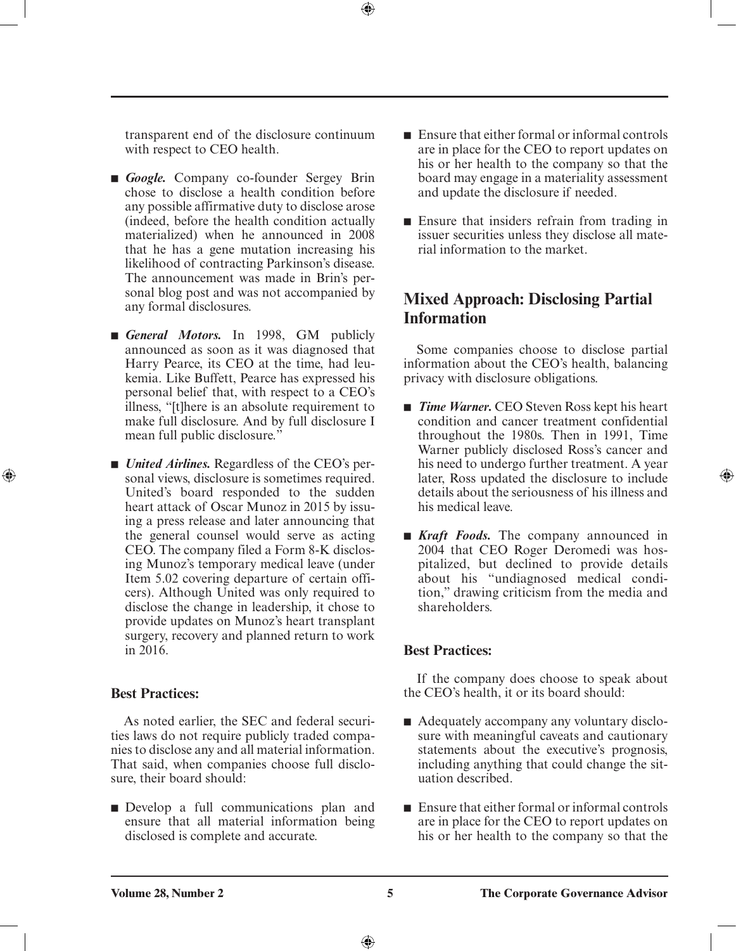transparent end of the disclosure continuum with respect to CEO health.

- *Google*. Company co-founder Sergey Brin chose to disclose a health condition before any possible affirmative duty to disclose arose (indeed, before the health condition actually materialized) when he announced in 2008 that he has a gene mutation increasing his likelihood of contracting Parkinson's disease. The announcement was made in Brin's personal blog post and was not accompanied by any formal disclosures.
- *General Motors.* In 1998, GM publicly announced as soon as it was diagnosed that Harry Pearce, its CEO at the time, had leukemia. Like Buffett, Pearce has expressed his personal belief that, with respect to a CEO's illness, "[t]here is an absolute requirement to make full disclosure. And by full disclosure I mean full public disclosure."
- *United Airlines.* Regardless of the CEO's personal views, disclosure is sometimes required. United's board responded to the sudden heart attack of Oscar Munoz in 2015 by issuing a press release and later announcing that the general counsel would serve as acting CEO. The company filed a Form 8-K disclosing Munoz's temporary medical leave (under Item 5.02 covering departure of certain officers). Although United was only required to disclose the change in leadership, it chose to provide updates on Munoz's heart transplant surgery, recovery and planned return to work in 2016.

### **Best Practices:**

⊕

As noted earlier, the SEC and federal securities laws do not require publicly traded companies to disclose any and all material information. That said, when companies choose full disclosure, their board should:

■ Develop a full communications plan and ensure that all material information being disclosed is complete and accurate.

- $\blacksquare$  Ensure that either formal or informal controls are in place for the CEO to report updates on his or her health to the company so that the board may engage in a materiality assessment and update the disclosure if needed.
- Ensure that insiders refrain from trading in issuer securities unless they disclose all material information to the market.

### **Mixed Approach: Disclosing Partial Information**

Some companies choose to disclose partial information about the CEO's health, balancing privacy with disclosure obligations.

■ *Time Warner*. CEO Steven Ross kept his heart condition and cancer treatment confidential throughout the 1980s. Then in 1991, Time Warner publicly disclosed Ross's cancer and his need to undergo further treatment. A year later, Ross updated the disclosure to include details about the seriousness of his illness and his medical leave.

⊕

■ *Kraft Foods*. The company announced in 2004 that CEO Roger Deromedi was hospitalized, but declined to provide details about his "undiagnosed medical condition," drawing criticism from the media and shareholders.

### **Best Practices:**

If the company does choose to speak about the CEO's health, it or its board should:

- Adequately accompany any voluntary disclosure with meaningful caveats and cautionary statements about the executive's prognosis, including anything that could change the situation described.
- Ensure that either formal or informal controls are in place for the CEO to report updates on his or her health to the company so that the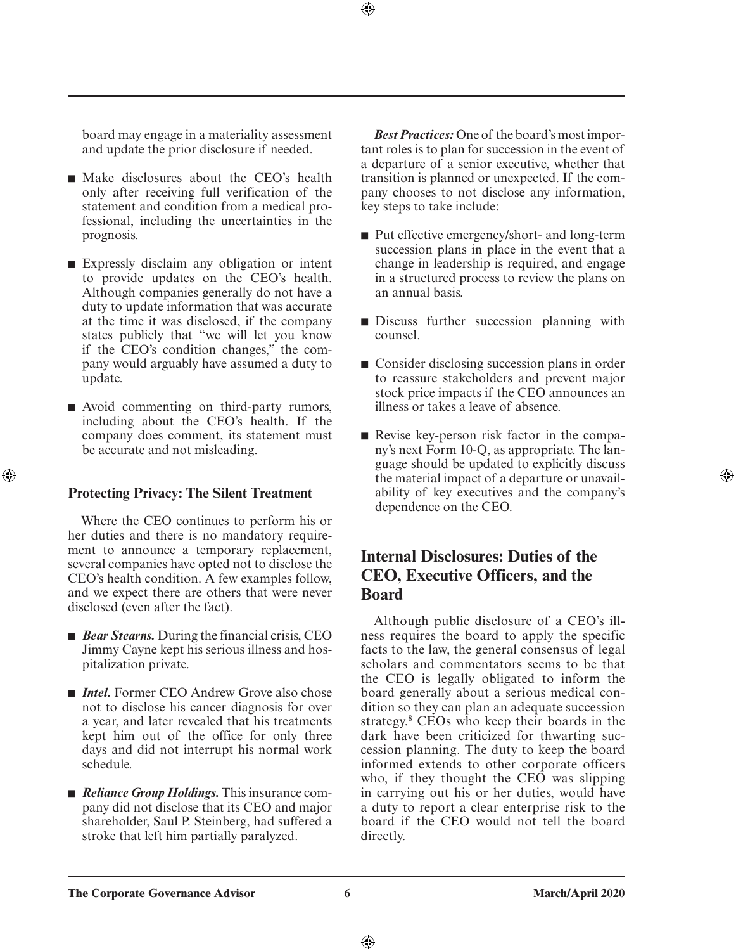board may engage in a materiality assessment and update the prior disclosure if needed.

- Make disclosures about the CEO's health only after receiving full verification of the statement and condition from a medical professional, including the uncertainties in the prognosis.
- Expressly disclaim any obligation or intent to provide updates on the CEO's health. Although companies generally do not have a duty to update information that was accurate at the time it was disclosed, if the company states publicly that "we will let you know if the CEO's condition changes," the company would arguably have assumed a duty to update.
- Avoid commenting on third-party rumors, including about the CEO's health. If the company does comment, its statement must be accurate and not misleading.

### **Protecting Privacy: The Silent Treatment**

⊕

Where the CEO continues to perform his or her duties and there is no mandatory requirement to announce a temporary replacement, several companies have opted not to disclose the CEO's health condition. A few examples follow, and we expect there are others that were never disclosed (even after the fact).

- *Bear Stearns*. During the financial crisis, CEO Jimmy Cayne kept his serious illness and hospitalization private.
- *Intel*. Former CEO Andrew Grove also chose not to disclose his cancer diagnosis for over a year, and later revealed that his treatments kept him out of the office for only three days and did not interrupt his normal work schedule.
- *Reliance Group Holdings*. This insurance company did not disclose that its CEO and major shareholder, Saul P. Steinberg, had suffered a stroke that left him partially paralyzed.

*Best Practices:* One of the board's most important roles is to plan for succession in the event of a departure of a senior executive, whether that transition is planned or unexpected. If the company chooses to not disclose any information, key steps to take include:

⊕

- Put effective emergency/short- and long-term succession plans in place in the event that a change in leadership is required, and engage in a structured process to review the plans on an annual basis.
- Discuss further succession planning with counsel.
- Consider disclosing succession plans in order to reassure stakeholders and prevent major stock price impacts if the CEO announces an illness or takes a leave of absence.
- Revise key-person risk factor in the company's next Form 10-Q, as appropriate. The language should be updated to explicitly discuss the material impact of a departure or unavailability of key executives and the company's dependence on the CEO.

### **Internal Disclosures: Duties of the CEO, Executive Officers, and the Board**

Although public disclosure of a CEO's illness requires the board to apply the specific facts to the law, the general consensus of legal scholars and commentators seems to be that the CEO is legally obligated to inform the board generally about a serious medical condition so they can plan an adequate succession strategy.8 CEOs who keep their boards in the dark have been criticized for thwarting succession planning. The duty to keep the board informed extends to other corporate officers who, if they thought the CEO was slipping in carrying out his or her duties, would have a duty to report a clear enterprise risk to the board if the CEO would not tell the board directly.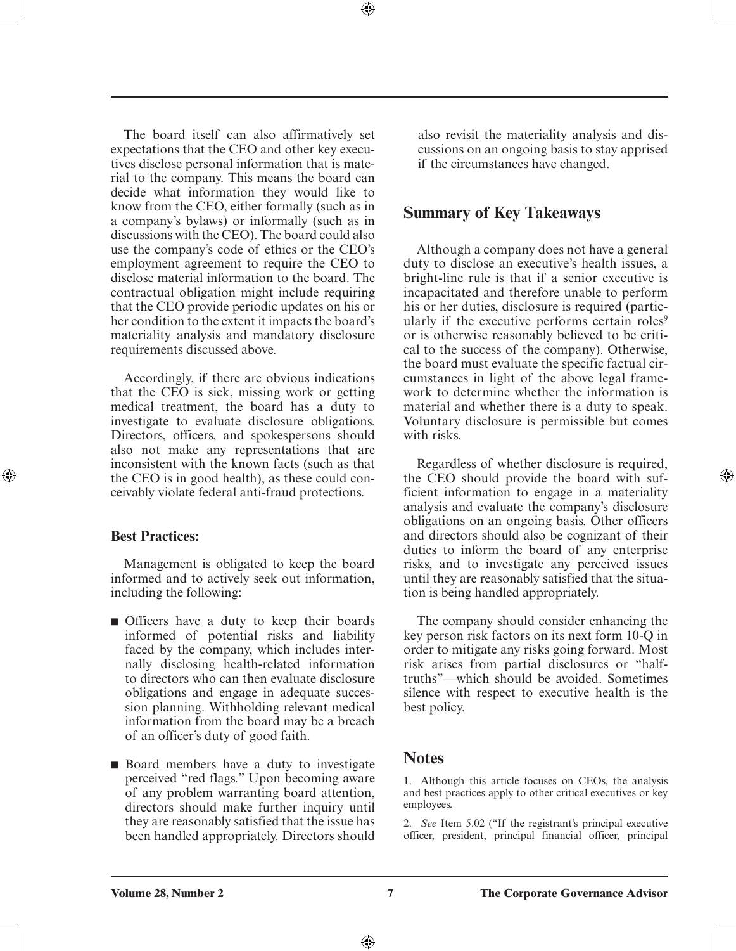The board itself can also affirmatively set expectations that the CEO and other key executives disclose personal information that is material to the company. This means the board can decide what information they would like to know from the CEO, either formally (such as in a company's bylaws) or informally (such as in discussions with the CEO). The board could also use the company's code of ethics or the CEO's employment agreement to require the CEO to disclose material information to the board. The contractual obligation might include requiring that the CEO provide periodic updates on his or her condition to the extent it impacts the board's materiality analysis and mandatory disclosure requirements discussed above.

⊕

Accordingly, if there are obvious indications that the CEO is sick, missing work or getting medical treatment, the board has a duty to investigate to evaluate disclosure obligations. Directors, officers, and spokespersons should also not make any representations that are inconsistent with the known facts (such as that the CEO is in good health), as these could conceivably violate federal anti-fraud protections.

### **Best Practices:**

⊕

Management is obligated to keep the board informed and to actively seek out information, including the following:

- Officers have a duty to keep their boards informed of potential risks and liability faced by the company, which includes internally disclosing health-related information to directors who can then evaluate disclosure obligations and engage in adequate succession planning. Withholding relevant medical information from the board may be a breach of an officer's duty of good faith.
- Board members have a duty to investigate perceived "red flags." Upon becoming aware of any problem warranting board attention, directors should make further inquiry until they are reasonably satisfied that the issue has been handled appropriately. Directors should

also revisit the materiality analysis and discussions on an ongoing basis to stay apprised if the circumstances have changed.

### **Summary of Key Takeaways**

Although a company does not have a general duty to disclose an executive's health issues, a bright-line rule is that if a senior executive is incapacitated and therefore unable to perform his or her duties, disclosure is required (particularly if the executive performs certain roles<sup>9</sup> or is otherwise reasonably believed to be critical to the success of the company). Otherwise, the board must evaluate the specific factual circumstances in light of the above legal framework to determine whether the information is material and whether there is a duty to speak. Voluntary disclosure is permissible but comes with risks.

Regardless of whether disclosure is required, the CEO should provide the board with sufficient information to engage in a materiality analysis and evaluate the company's disclosure obligations on an ongoing basis. Other officers and directors should also be cognizant of their duties to inform the board of any enterprise risks, and to investigate any perceived issues until they are reasonably satisfied that the situation is being handled appropriately.

⊕

The company should consider enhancing the key person risk factors on its next form 10-Q in order to mitigate any risks going forward. Most risk arises from partial disclosures or "halftruths"—which should be avoided. Sometimes silence with respect to executive health is the best policy.

### **Notes**

1. Although this article focuses on CEOs, the analysis and best practices apply to other critical executives or key employees.

2. *See* Item 5.02 ("If the registrant's principal executive officer, president, principal financial officer, principal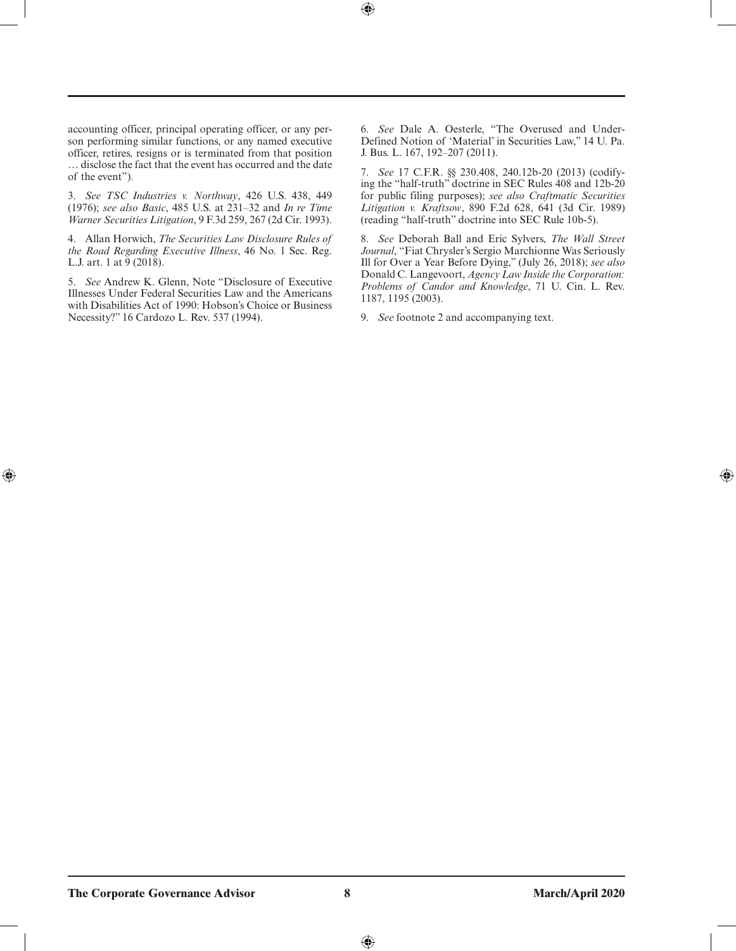accounting officer, principal operating officer, or any person performing similar functions, or any named executive officer, retires, resigns or is terminated from that position … disclose the fact that the event has occurred and the date of the event").

3. *See TSC Industries v. Northway*, 426 U.S. 438, 449 (1976); *see also Basic*, 485 U.S. at 231–32 and *In re Time Warner Securities Litigation*, 9 F.3d 259, 267 (2d Cir. 1993).

4. Allan Horwich, *The Securities Law Disclosure Rules of the Road Regarding Executive Illness*, 46 No. 1 Sec. Reg. L.J. art. 1 at 9 (2018).

5. *See* Andrew K. Glenn, Note "Disclosure of Executive Illnesses Under Federal Securities Law and the Americans with Disabilities Act of 1990: Hobson's Choice or Business Necessity?" 16 Cardozo L. Rev. 537 (1994).

 $\bigoplus$ 

6. *See* Dale A. Oesterle, "The Overused and Under-Defined Notion of 'Material' in Securities Law," 14 U. Pa. J. Bus. L. 167, 192–207 (2011).

7. *See* 17 C.F.R. §§ 230.408, 240.12b-20 (2013) (codifying the "half-truth" doctrine in SEC Rules 408 and 12b-20 for public filing purposes); *see also Craftmatic Securities Litigation v. Kraftsow*, 890 F.2d 628, 641 (3d Cir. 1989) (reading "half-truth" doctrine into SEC Rule 10b-5).

8. *See* Deborah Ball and Eric Sylvers, *The Wall Street Journal*, "Fiat Chrysler's Sergio Marchionne Was Seriously Ill for Over a Year Before Dying," (July 26, 2018); *see also* Donald C. Langevoort, *Agency Law Inside the Corporation: Problems of Candor and Knowledge*, 71 U. Cin. L. Rev. 1187, 1195 (2003).

9. *See* footnote 2 and accompanying text.

 $\bigoplus$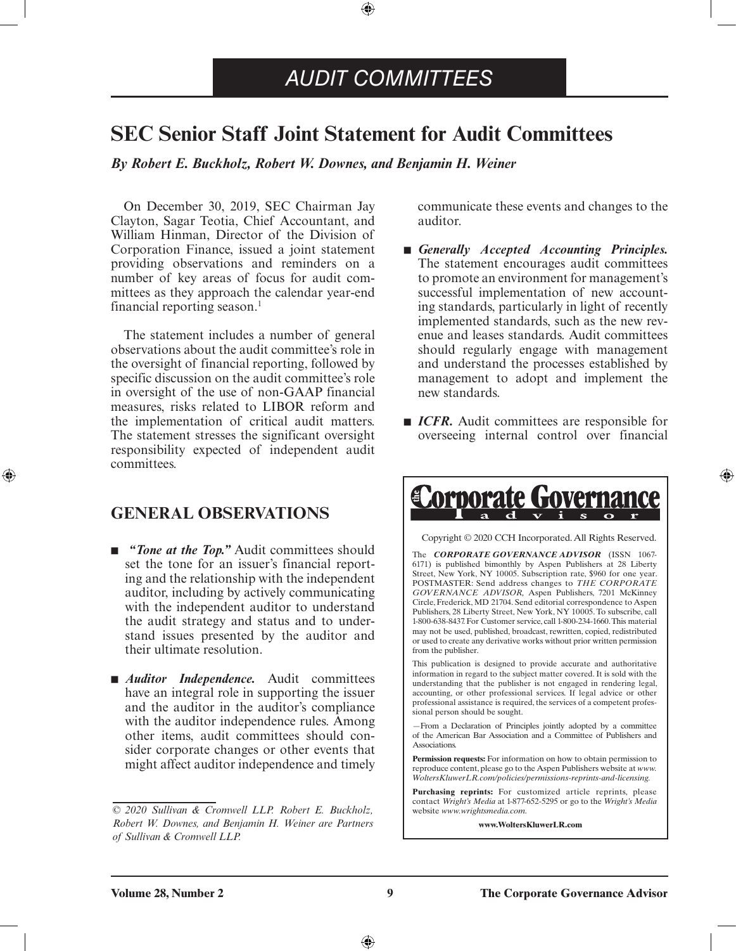### *AUDIT COMMITTEES*

### <span id="page-8-0"></span>**SEC Senior Staff Joint Statement for Audit Committees**

⊕

*By Robert E. Buckholz, Robert W. Downes, and Benjamin H. Weiner*

On December 30, 2019, SEC Chairman Jay Clayton, Sagar Teotia, Chief Accountant, and William Hinman, Director of the Division of Corporation Finance, issued a joint statement providing observations and reminders on a number of key areas of focus for audit committees as they approach the calendar year-end financial reporting season.<sup>1</sup>

The statement includes a number of general observations about the audit committee's role in the oversight of financial reporting, followed by specific discussion on the audit committee's role in oversight of the use of non-GAAP financial measures, risks related to LIBOR reform and the implementation of critical audit matters. The statement stresses the significant oversight responsibility expected of independent audit committees.

### **GENERAL OBSERVATIONS**

⊕

- *"Tone at the Top.*" Audit committees should set the tone for an issuer's financial reporting and the relationship with the independent auditor, including by actively communicating with the independent auditor to understand the audit strategy and status and to understand issues presented by the auditor and their ultimate resolution.
- *Auditor Independence*. Audit committees have an integral role in supporting the issuer and the auditor in the auditor's compliance with the auditor independence rules. Among other items, audit committees should consider corporate changes or other events that might affect auditor independence and timely

communicate these events and changes to the auditor.

- *Generally Accepted Accounting Principles.* The statement encourages audit committees to promote an environment for management's successful implementation of new accounting standards, particularly in light of recently implemented standards, such as the new revenue and leases standards. Audit committees should regularly engage with management and understand the processes established by management to adopt and implement the new standards.
- *ICFR*. Audit committees are responsible for overseeing internal control over financial

⊕

### Corporate Governa Copyright © 2020 CCH Incorporated. All Rights Reserved. The *CORPORATE GOVERNANCE ADVISOR* (ISSN 1067- 6171) is published bimonthly by Aspen Publishers at 28 Liberty

Street, New York, NY 10005. Subscription rate, \$960 for one year. POSTMASTER: Send address changes to *THE CORPORATE GOVERNANCE ADVISOR,* Aspen Publishers, 7201 McKinney Circle, Frederick, MD 21704. Send editorial correspondence to Aspen Publishers, 28 Liberty Street, New York, NY 10005. To subscribe, call 1-800-638-8437. For Customer service, call 1-800-234-1660. This material may not be used, published, broadcast, rewritten, copied, redistributed or used to create any derivative works without prior written permission from the publisher.

This publication is designed to provide accurate and authoritative information in regard to the subject matter covered. It is sold with the understanding that the publisher is not engaged in rendering legal, accounting, or other professional services. If legal advice or other professional assistance is required, the services of a competent professional person should be sought.

—From a Declaration of Principles jointly adopted by a committee of the American Bar Association and a Committee of Publishers and Associations.

**Permission requests:** For information on how to obtain permission to reproduce content, please go to the Aspen Publishers website at *www. WoltersKluwerLR.com/policies/permissions-reprints-and-licensing.*

**Purchasing reprints:** For customized article reprints, please contact *Wright's Media* at 1-877-652-5295 or go to the *Wright's Media* website *www.wrightsmedia.com.*

**www.WoltersKluwerLR.com**

*<sup>© 2020</sup> Sullivan & Cromwell LLP. Robert E. Buckholz, Robert W. Downes, and Benjamin H. Weiner are Partners of Sullivan & Cromwell LLP.*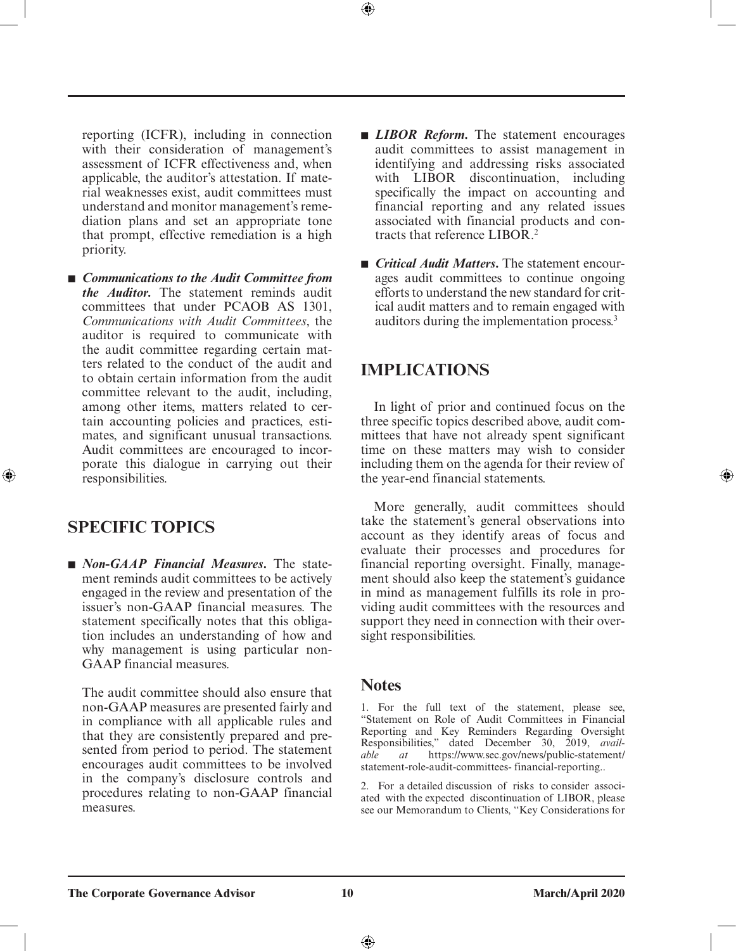reporting (ICFR), including in connection with their consideration of management's assessment of ICFR effectiveness and, when applicable, the auditor's attestation. If material weaknesses exist, audit committees must understand and monitor management's remediation plans and set an appropriate tone that prompt, effective remediation is a high priority.

■ *Communications to the Audit Committee from the Auditor.* The statement reminds audit committees that under PCAOB AS 1301, *Communications with Audit Committees*, the auditor is required to communicate with the audit committee regarding certain matters related to the conduct of the audit and to obtain certain information from the audit committee relevant to the audit, including, among other items, matters related to certain accounting policies and practices, estimates, and significant unusual transactions. Audit committees are encouraged to incorporate this dialogue in carrying out their responsibilities.

### **SPECIFIC TOPICS**

⊕

■ *Non-GAAP Financial Measures*. The statement reminds audit committees to be actively engaged in the review and presentation of the issuer's non-GAAP financial measures. The statement specifically notes that this obligation includes an understanding of how and why management is using particular non-GAAP financial measures.

The audit committee should also ensure that non-GAAP measures are presented fairly and in compliance with all applicable rules and that they are consistently prepared and presented from period to period. The statement encourages audit committees to be involved in the company's disclosure controls and procedures relating to non-GAAP financial measures.

- *LIBOR Reform*. The statement encourages audit committees to assist management in identifying and addressing risks associated with LIBOR discontinuation, including specifically the impact on accounting and financial reporting and any related issues associated with financial products and contracts that reference LIBOR.2
- *Critical Audit Matters*, The statement encourages audit committees to continue ongoing efforts to understand the new standard for critical audit matters and to remain engaged with auditors during the implementation process.3

### **IMPLICATIONS**

In light of prior and continued focus on the three specific topics described above, audit committees that have not already spent significant time on these matters may wish to consider including them on the agenda for their review of the year-end financial statements.

More generally, audit committees should take the statement's general observations into account as they identify areas of focus and evaluate their processes and procedures for financial reporting oversight. Finally, management should also keep the statement's guidance in mind as management fulfills its role in providing audit committees with the resources and support they need in connection with their oversight responsibilities.

### **Notes**

1. For the full text of the statement, please see, "Statement on Role of Audit Committees in Financial Reporting and Key Reminders Regarding Oversight Responsibilities," dated December 30, 2019, *available at* https://www.sec.gov/news/public-statement/ statement-role-audit-committees- financial-reporting..

2. For a detailed discussion of risks to consider associated with the expected discontinuation of LIBOR, please see our Memorandum to Clients, "Key Considerations for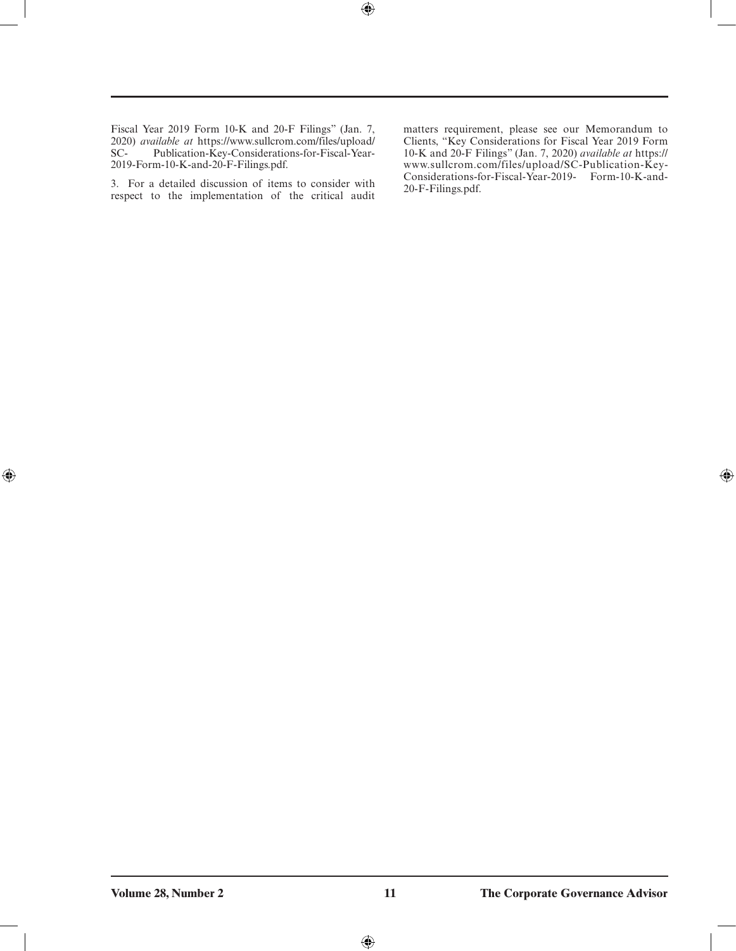$\bigoplus$ 

Fiscal Year 2019 Form 10-K and 20-F Filings" (Jan. 7, 2020) *available at* https://www.sullcrom.com/files/upload/ Publication-Key-Considerations-for-Fiscal-Year-2019-Form-10-K-and-20-F-Filings.pdf.

3. For a detailed discussion of items to consider with respect to the implementation of the critical audit matters requirement, please see our Memorandum to Clients, "Key Considerations for Fiscal Year 2019 Form 10-K and 20-F Filings" (Jan. 7, 2020) *available at* https:// www.sullcrom.com/files/upload/SC-Publication-Key-Considerations-for-Fiscal-Year-2019- Form-10-K-and-20-F-Filings.pdf.

 $\bigoplus$ 

 $\bigoplus$ 

 $\bigoplus$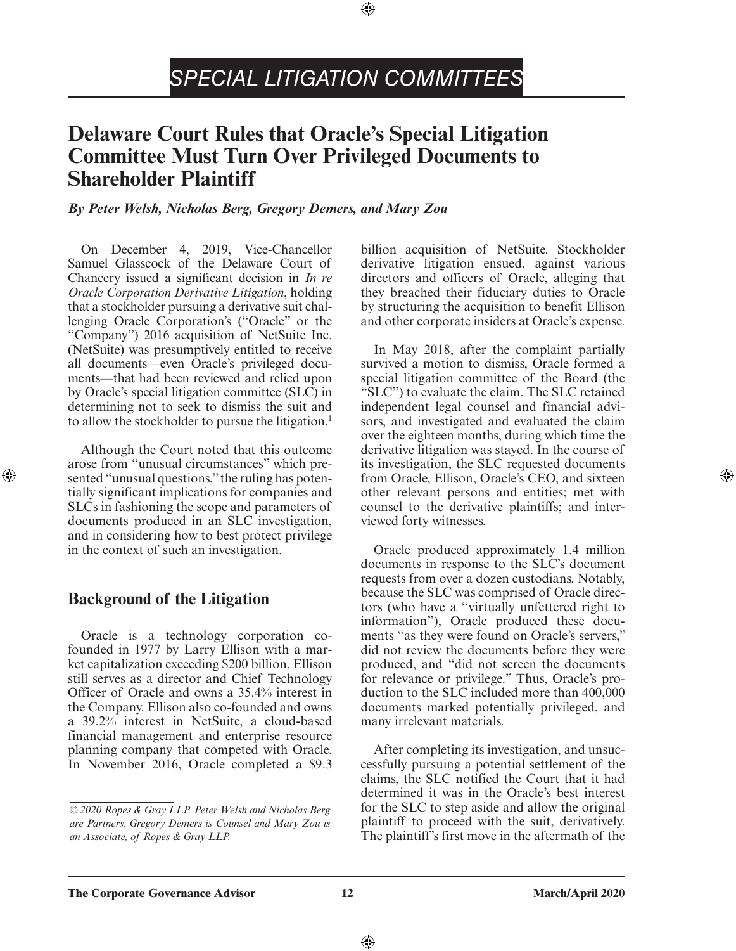## *SPECIAL LITIGATION COMMITTEES*

⊕

### <span id="page-11-0"></span>**Delaware Court Rules that Oracle's Special Litigation Committee Must Turn Over Privileged Documents to Shareholder Plaintiff**

### *By Peter Welsh, Nicholas Berg, Gregory Demers, and Mary Zou*

On December 4, 2019, Vice-Chancellor Samuel Glasscock of the Delaware Court of Chancery issued a significant decision in *In re Oracle Corporation Derivative Litigation*, holding that a stockholder pursuing a derivative suit challenging Oracle Corporation's ("Oracle" or the "Company") 2016 acquisition of NetSuite Inc. (NetSuite) was presumptively entitled to receive all documents—even Oracle's privileged documents—that had been reviewed and relied upon by Oracle's special litigation committee (SLC) in determining not to seek to dismiss the suit and to allow the stockholder to pursue the litigation.<sup>1</sup>

Although the Court noted that this outcome arose from "unusual circumstances" which presented "unusual questions," the ruling has potentially significant implications for companies and SLCs in fashioning the scope and parameters of documents produced in an SLC investigation, and in considering how to best protect privilege in the context of such an investigation.

### **Background of the Litigation**

⊕

Oracle is a technology corporation cofounded in 1977 by Larry Ellison with a market capitalization exceeding \$200 billion. Ellison still serves as a director and Chief Technology Officer of Oracle and owns a 35.4% interest in the Company. Ellison also co-founded and owns a 39.2% interest in NetSuite, a cloud-based financial management and enterprise resource planning company that competed with Oracle. In November 2016, Oracle completed a \$9.3

billion acquisition of NetSuite. Stockholder derivative litigation ensued, against various directors and officers of Oracle, alleging that they breached their fiduciary duties to Oracle by structuring the acquisition to benefit Ellison and other corporate insiders at Oracle's expense.

In May 2018, after the complaint partially survived a motion to dismiss, Oracle formed a special litigation committee of the Board (the "SLC") to evaluate the claim. The SLC retained independent legal counsel and financial advisors, and investigated and evaluated the claim over the eighteen months, during which time the derivative litigation was stayed. In the course of its investigation, the SLC requested documents from Oracle, Ellison, Oracle's CEO, and sixteen other relevant persons and entities; met with counsel to the derivative plaintiffs; and interviewed forty witnesses.

Oracle produced approximately 1.4 million documents in response to the SLC's document requests from over a dozen custodians. Notably, because the SLC was comprised of Oracle directors (who have a "virtually unfettered right to information"), Oracle produced these documents "as they were found on Oracle's servers," did not review the documents before they were produced, and "did not screen the documents for relevance or privilege." Thus, Oracle's production to the SLC included more than 400,000 documents marked potentially privileged, and many irrelevant materials.

After completing its investigation, and unsuccessfully pursuing a potential settlement of the claims, the SLC notified the Court that it had determined it was in the Oracle's best interest for the SLC to step aside and allow the original plaintiff to proceed with the suit, derivatively. The plaintiff's first move in the aftermath of the

*<sup>© 2020</sup> Ropes & Gray LLP. Peter Welsh and Nicholas Berg are Partners, Gregory Demers is Counsel and Mary Zou is an Associate, of Ropes & Gray LLP.*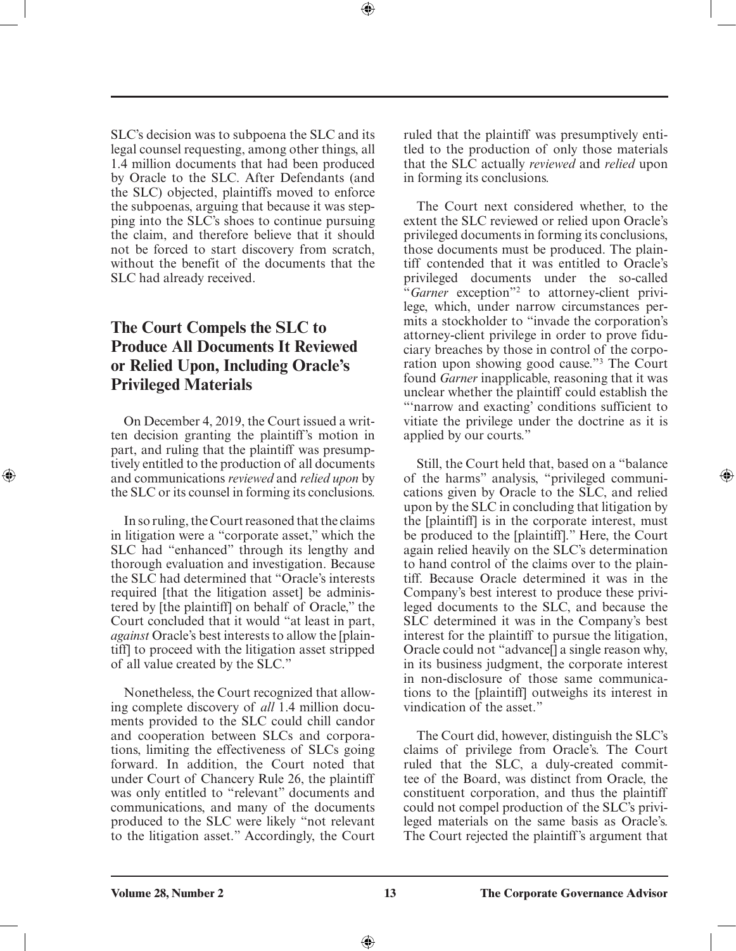SLC's decision was to subpoena the SLC and its legal counsel requesting, among other things, all 1.4 million documents that had been produced by Oracle to the SLC. After Defendants (and the SLC) objected, plaintiffs moved to enforce the subpoenas, arguing that because it was stepping into the SLC's shoes to continue pursuing the claim, and therefore believe that it should not be forced to start discovery from scratch, without the benefit of the documents that the SLC had already received.

### **The Court Compels the SLC to Produce All Documents It Reviewed or Relied Upon, Including Oracle's Privileged Materials**

On December 4, 2019, the Court issued a written decision granting the plaintiff's motion in part, and ruling that the plaintiff was presumptively entitled to the production of all documents and communications *reviewed* and *relied upon* by the SLC or its counsel in forming its conclusions.

⊕

In so ruling, the Court reasoned that the claims in litigation were a "corporate asset," which the SLC had "enhanced" through its lengthy and thorough evaluation and investigation. Because the SLC had determined that "Oracle's interests required [that the litigation asset] be administered by [the plaintiff] on behalf of Oracle," the Court concluded that it would "at least in part, *against* Oracle's best interests to allow the [plaintiff] to proceed with the litigation asset stripped of all value created by the SLC."

Nonetheless, the Court recognized that allowing complete discovery of *all* 1.4 million documents provided to the SLC could chill candor and cooperation between SLCs and corporations, limiting the effectiveness of SLCs going forward. In addition, the Court noted that under Court of Chancery Rule 26, the plaintiff was only entitled to "relevant" documents and communications, and many of the documents produced to the SLC were likely "not relevant to the litigation asset." Accordingly, the Court

ruled that the plaintiff was presumptively entitled to the production of only those materials that the SLC actually *reviewed* and *relied* upon in forming its conclusions.

The Court next considered whether, to the extent the SLC reviewed or relied upon Oracle's privileged documents in forming its conclusions, those documents must be produced. The plaintiff contended that it was entitled to Oracle's privileged documents under the so-called "*Garner* exception"2 to attorney-client privilege, which, under narrow circumstances permits a stockholder to "invade the corporation's attorney-client privilege in order to prove fiduciary breaches by those in control of the corporation upon showing good cause."3 The Court found *Garner* inapplicable, reasoning that it was unclear whether the plaintiff could establish the "'narrow and exacting' conditions sufficient to vitiate the privilege under the doctrine as it is applied by our courts."

Still, the Court held that, based on a "balance of the harms" analysis, "privileged communications given by Oracle to the SLC, and relied upon by the SLC in concluding that litigation by the [plaintiff] is in the corporate interest, must be produced to the [plaintiff]." Here, the Court again relied heavily on the SLC's determination to hand control of the claims over to the plaintiff. Because Oracle determined it was in the Company's best interest to produce these privileged documents to the SLC, and because the SLC determined it was in the Company's best interest for the plaintiff to pursue the litigation, Oracle could not "advance[] a single reason why, in its business judgment, the corporate interest in non-disclosure of those same communications to the [plaintiff] outweighs its interest in vindication of the asset."

The Court did, however, distinguish the SLC's claims of privilege from Oracle's. The Court ruled that the SLC, a duly-created committee of the Board, was distinct from Oracle, the constituent corporation, and thus the plaintiff could not compel production of the SLC's privileged materials on the same basis as Oracle's. The Court rejected the plaintiff's argument that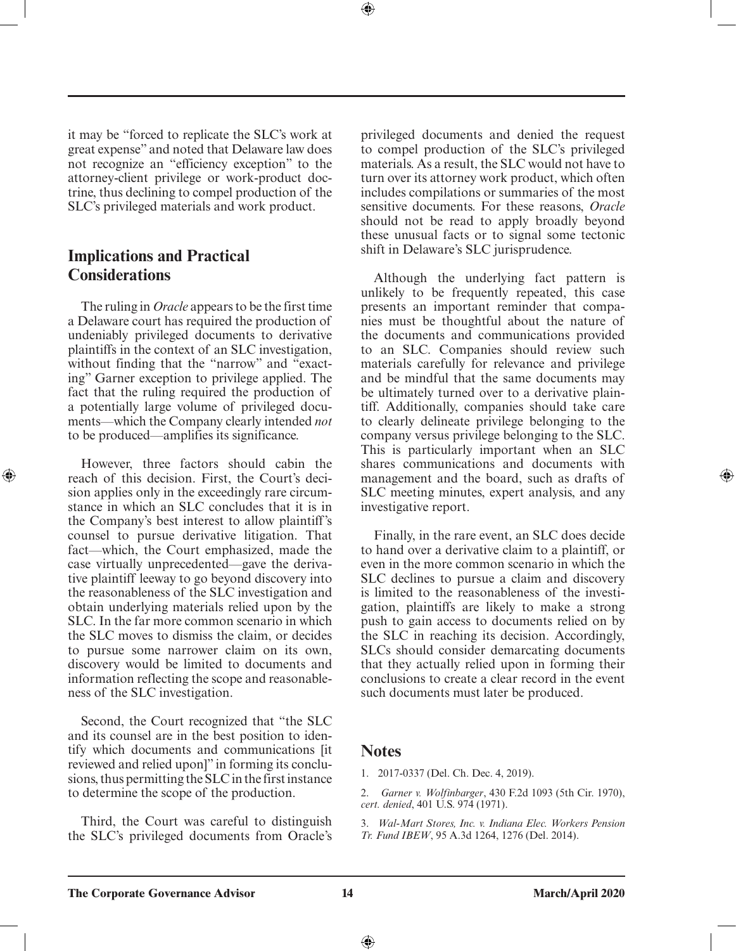it may be "forced to replicate the SLC's work at great expense" and noted that Delaware law does not recognize an "efficiency exception" to the attorney-client privilege or work-product doctrine, thus declining to compel production of the SLC's privileged materials and work product.

### **Implications and Practical Considerations**

⊕

The ruling in *Oracle* appears to be the first time a Delaware court has required the production of undeniably privileged documents to derivative plaintiffs in the context of an SLC investigation, without finding that the "narrow" and "exacting" Garner exception to privilege applied. The fact that the ruling required the production of a potentially large volume of privileged documents—which the Company clearly intended *not* to be produced—amplifies its significance.

However, three factors should cabin the reach of this decision. First, the Court's decision applies only in the exceedingly rare circumstance in which an SLC concludes that it is in the Company's best interest to allow plaintiff's counsel to pursue derivative litigation. That fact—which, the Court emphasized, made the case virtually unprecedented—gave the derivative plaintiff leeway to go beyond discovery into the reasonableness of the SLC investigation and obtain underlying materials relied upon by the SLC. In the far more common scenario in which the SLC moves to dismiss the claim, or decides to pursue some narrower claim on its own, discovery would be limited to documents and information reflecting the scope and reasonableness of the SLC investigation.

Second, the Court recognized that "the SLC and its counsel are in the best position to identify which documents and communications [it reviewed and relied upon]" in forming its conclusions, thus permitting the SLC in the first instance to determine the scope of the production.

Third, the Court was careful to distinguish the SLC's privileged documents from Oracle's privileged documents and denied the request to compel production of the SLC's privileged materials. As a result, the SLC would not have to turn over its attorney work product, which often includes compilations or summaries of the most sensitive documents. For these reasons, *Oracle* should not be read to apply broadly beyond these unusual facts or to signal some tectonic shift in Delaware's SLC jurisprudence.

Although the underlying fact pattern is unlikely to be frequently repeated, this case presents an important reminder that companies must be thoughtful about the nature of the documents and communications provided to an SLC. Companies should review such materials carefully for relevance and privilege and be mindful that the same documents may be ultimately turned over to a derivative plaintiff. Additionally, companies should take care to clearly delineate privilege belonging to the company versus privilege belonging to the SLC. This is particularly important when an SLC shares communications and documents with management and the board, such as drafts of SLC meeting minutes, expert analysis, and any investigative report.

Finally, in the rare event, an SLC does decide to hand over a derivative claim to a plaintiff, or even in the more common scenario in which the SLC declines to pursue a claim and discovery is limited to the reasonableness of the investigation, plaintiffs are likely to make a strong push to gain access to documents relied on by the SLC in reaching its decision. Accordingly, SLCs should consider demarcating documents that they actually relied upon in forming their conclusions to create a clear record in the event such documents must later be produced.

### **Notes**

- 1. 2017-0337 (Del. Ch. Dec. 4, 2019).
- 2. *Garner v. Wolfinbarger*, 430 F.2d 1093 (5th Cir. 1970), *cert. denied*, 401 U.S. 974 (1971).
- 3. *Wal-Mart Stores, Inc. v. Indiana Elec. Workers Pension Tr. Fund IBEW*, 95 A.3d 1264, 1276 (Del. 2014).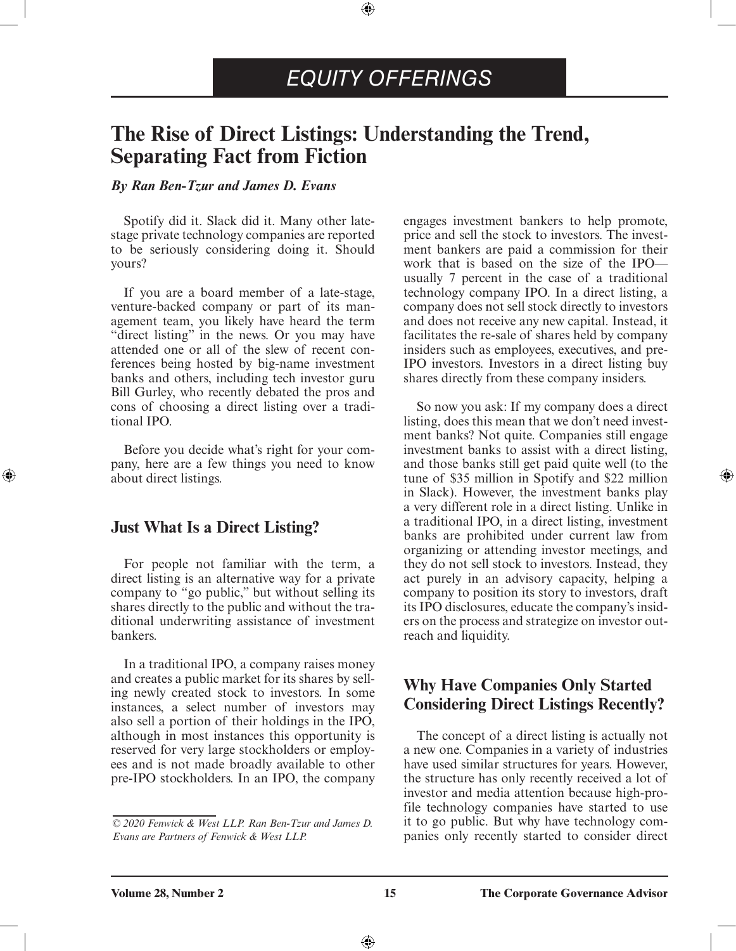### *EQUITY OFFERINGS*

⊕

### <span id="page-14-0"></span>**The Rise of Direct Listings: Understanding the Trend, Separating Fact from Fiction**

### *By Ran Ben-Tzur and James D. Evans*

Spotify did it. Slack did it. Many other latestage private technology companies are reported to be seriously considering doing it. Should yours?

If you are a board member of a late-stage, venture-backed company or part of its management team, you likely have heard the term "direct listing" in the news. Or you may have attended one or all of the slew of recent conferences being hosted by big-name investment banks and others, including tech investor guru Bill Gurley, who recently debated the pros and cons of choosing a direct listing over a traditional IPO.

Before you decide what's right for your company, here are a few things you need to know about direct listings.

### **Just What Is a Direct Listing?**

⊕

For people not familiar with the term, a direct listing is an alternative way for a private company to "go public," but without selling its shares directly to the public and without the traditional underwriting assistance of investment bankers.

In a traditional IPO, a company raises money and creates a public market for its shares by selling newly created stock to investors. In some instances, a select number of investors may also sell a portion of their holdings in the IPO, although in most instances this opportunity is reserved for very large stockholders or employees and is not made broadly available to other pre-IPO stockholders. In an IPO, the company

engages investment bankers to help promote, price and sell the stock to investors. The investment bankers are paid a commission for their work that is based on the size of the IPO usually 7 percent in the case of a traditional technology company IPO. In a direct listing, a company does not sell stock directly to investors and does not receive any new capital. Instead, it facilitates the re-sale of shares held by company insiders such as employees, executives, and pre-IPO investors. Investors in a direct listing buy shares directly from these company insiders.

So now you ask: If my company does a direct listing, does this mean that we don't need investment banks? Not quite. Companies still engage investment banks to assist with a direct listing, and those banks still get paid quite well (to the tune of \$35 million in Spotify and \$22 million in Slack). However, the investment banks play a very different role in a direct listing. Unlike in a traditional IPO, in a direct listing, investment banks are prohibited under current law from organizing or attending investor meetings, and they do not sell stock to investors. Instead, they act purely in an advisory capacity, helping a company to position its story to investors, draft its IPO disclosures, educate the company's insiders on the process and strategize on investor outreach and liquidity.

⊕

### **Why Have Companies Only Started Considering Direct Listings Recently?**

The concept of a direct listing is actually not a new one. Companies in a variety of industries have used similar structures for years. However, the structure has only recently received a lot of investor and media attention because high-profile technology companies have started to use it to go public. But why have technology companies only recently started to consider direct

*<sup>© 2020</sup> Fenwick & West LLP. Ran Ben-Tzur and James D. Evans are Partners of Fenwick & West LLP.*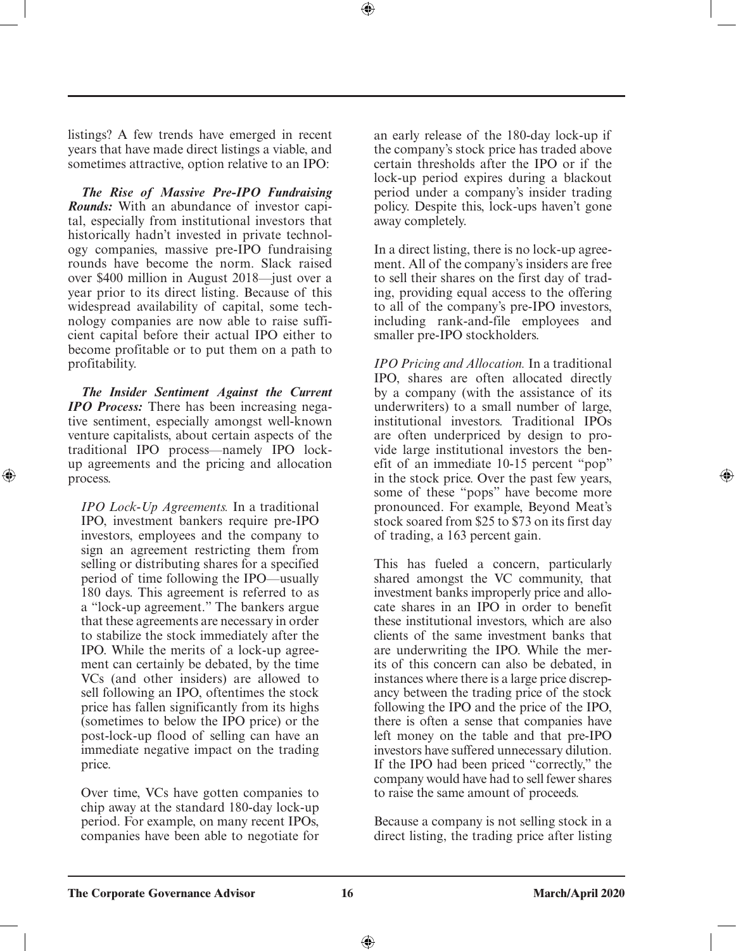listings? A few trends have emerged in recent years that have made direct listings a viable, and sometimes attractive, option relative to an IPO:

*The Rise of Massive Pre-IPO Fundraising Rounds:* With an abundance of investor capital, especially from institutional investors that historically hadn't invested in private technology companies, massive pre-IPO fundraising rounds have become the norm. Slack raised over \$400 million in August 2018—just over a year prior to its direct listing. Because of this widespread availability of capital, some technology companies are now able to raise sufficient capital before their actual IPO either to become profitable or to put them on a path to profitability.

*The Insider Sentiment Against the Current IPO Process:* There has been increasing negative sentiment, especially amongst well-known venture capitalists, about certain aspects of the traditional IPO process—namely IPO lockup agreements and the pricing and allocation process.

⊕

*IPO Lock-Up Agreements.* In a traditional IPO, investment bankers require pre-IPO investors, employees and the company to sign an agreement restricting them from selling or distributing shares for a specified period of time following the IPO—usually 180 days. This agreement is referred to as a "lock-up agreement." The bankers argue that these agreements are necessary in order to stabilize the stock immediately after the IPO. While the merits of a lock-up agreement can certainly be debated, by the time VCs (and other insiders) are allowed to sell following an IPO, oftentimes the stock price has fallen significantly from its highs (sometimes to below the IPO price) or the post-lock-up flood of selling can have an immediate negative impact on the trading price.

Over time, VCs have gotten companies to chip away at the standard 180-day lock-up period. For example, on many recent IPOs, companies have been able to negotiate for

an early release of the 180-day lock-up if the company's stock price has traded above certain thresholds after the IPO or if the lock-up period expires during a blackout period under a company's insider trading policy. Despite this, lock-ups haven't gone away completely.

⊕

In a direct listing, there is no lock-up agreement. All of the company's insiders are free to sell their shares on the first day of trading, providing equal access to the offering to all of the company's pre-IPO investors, including rank-and-file employees and smaller pre-IPO stockholders.

*IPO Pricing and Allocation.* In a traditional IPO, shares are often allocated directly by a company (with the assistance of its underwriters) to a small number of large, institutional investors. Traditional IPOs are often underpriced by design to provide large institutional investors the benefit of an immediate 10-15 percent "pop" in the stock price. Over the past few years, some of these "pops" have become more pronounced. For example, Beyond Meat's stock soared from \$25 to \$73 on its first day of trading, a 163 percent gain.

This has fueled a concern, particularly shared amongst the VC community, that investment banks improperly price and allocate shares in an IPO in order to benefit these institutional investors, which are also clients of the same investment banks that are underwriting the IPO. While the merits of this concern can also be debated, in instances where there is a large price discrepancy between the trading price of the stock following the IPO and the price of the IPO, there is often a sense that companies have left money on the table and that pre-IPO investors have suffered unnecessary dilution. If the IPO had been priced "correctly," the company would have had to sell fewer shares to raise the same amount of proceeds.

Because a company is not selling stock in a direct listing, the trading price after listing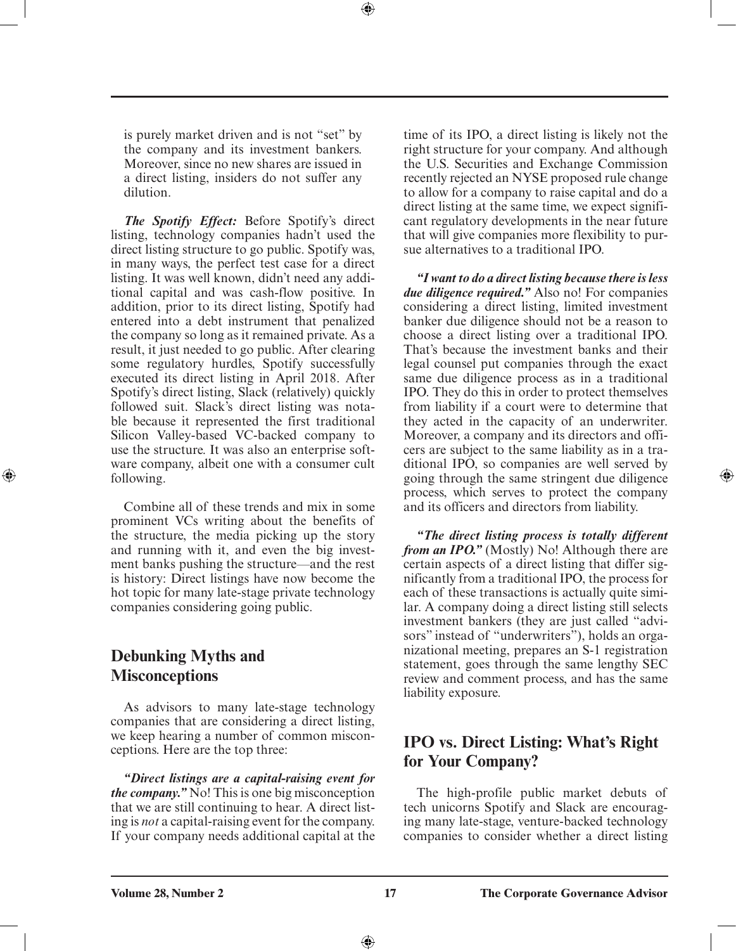is purely market driven and is not "set" by the company and its investment bankers. Moreover, since no new shares are issued in a direct listing, insiders do not suffer any dilution.

⊕

*The Spotify Effect:* Before Spotify's direct listing, technology companies hadn't used the direct listing structure to go public. Spotify was, in many ways, the perfect test case for a direct listing. It was well known, didn't need any additional capital and was cash-flow positive. In addition, prior to its direct listing, Spotify had entered into a debt instrument that penalized the company so long as it remained private. As a result, it just needed to go public. After clearing some regulatory hurdles, Spotify successfully executed its direct listing in April 2018. After Spotify's direct listing, Slack (relatively) quickly followed suit. Slack's direct listing was notable because it represented the first traditional Silicon Valley-based VC-backed company to use the structure. It was also an enterprise software company, albeit one with a consumer cult following.

Combine all of these trends and mix in some prominent VCs writing about the benefits of the structure, the media picking up the story and running with it, and even the big investment banks pushing the structure—and the rest is history: Direct listings have now become the hot topic for many late-stage private technology companies considering going public.

### **Debunking Myths and Misconceptions**

⊕

As advisors to many late-stage technology companies that are considering a direct listing, we keep hearing a number of common misconceptions. Here are the top three:

*"Direct listings are a capital-raising event for the company."* No! This is one big misconception that we are still continuing to hear. A direct listing is *not* a capital-raising event for the company. If your company needs additional capital at the

time of its IPO, a direct listing is likely not the right structure for your company. And although the U.S. Securities and Exchange Commission recently rejected an NYSE proposed rule change to allow for a company to raise capital and do a direct listing at the same time, we expect significant regulatory developments in the near future that will give companies more flexibility to pursue alternatives to a traditional IPO.

*"I want to do a direct listing because there is less due diligence required."* Also no! For companies considering a direct listing, limited investment banker due diligence should not be a reason to choose a direct listing over a traditional IPO. That's because the investment banks and their legal counsel put companies through the exact same due diligence process as in a traditional IPO. They do this in order to protect themselves from liability if a court were to determine that they acted in the capacity of an underwriter. Moreover, a company and its directors and officers are subject to the same liability as in a traditional IPO, so companies are well served by going through the same stringent due diligence process, which serves to protect the company and its officers and directors from liability.

⊕

*"The direct listing process is totally different from an IPO.*" (Mostly) No! Although there are certain aspects of a direct listing that differ significantly from a traditional IPO, the process for each of these transactions is actually quite similar. A company doing a direct listing still selects investment bankers (they are just called "advisors" instead of "underwriters"), holds an organizational meeting, prepares an S-1 registration statement, goes through the same lengthy SEC review and comment process, and has the same liability exposure.

### **IPO vs. Direct Listing: What's Right for Your Company?**

The high-profile public market debuts of tech unicorns Spotify and Slack are encouraging many late-stage, venture-backed technology companies to consider whether a direct listing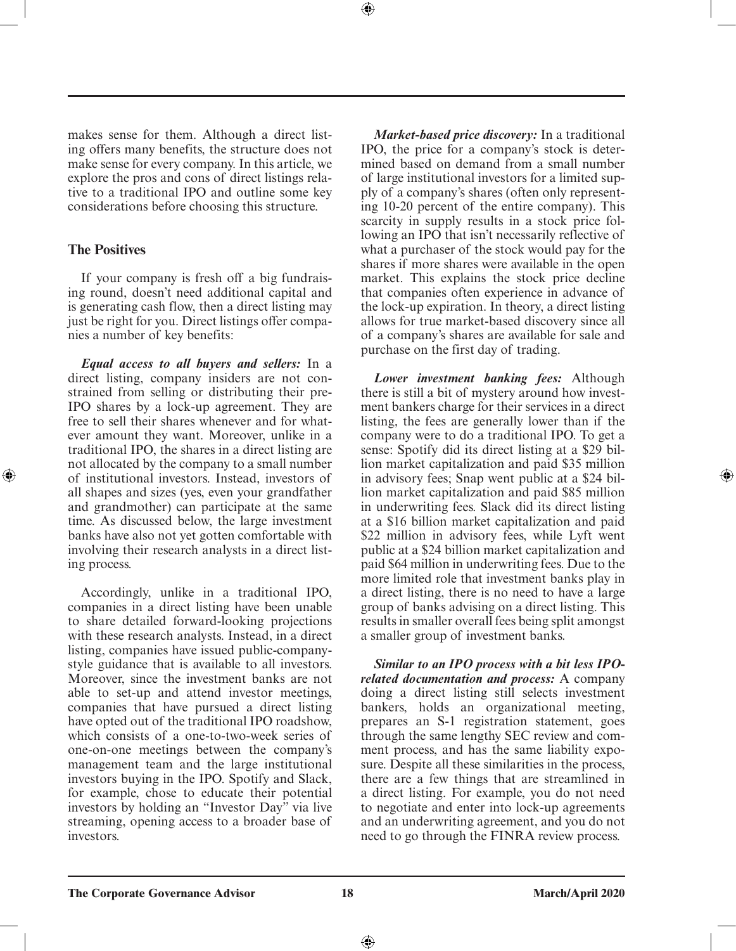makes sense for them. Although a direct listing offers many benefits, the structure does not make sense for every company. In this article, we explore the pros and cons of direct listings relative to a traditional IPO and outline some key considerations before choosing this structure.

### **The Positives**

⊕

If your company is fresh off a big fundraising round, doesn't need additional capital and is generating cash flow, then a direct listing may just be right for you. Direct listings offer companies a number of key benefits:

*Equal access to all buyers and sellers:* In a direct listing, company insiders are not constrained from selling or distributing their pre-IPO shares by a lock-up agreement. They are free to sell their shares whenever and for whatever amount they want. Moreover, unlike in a traditional IPO, the shares in a direct listing are not allocated by the company to a small number of institutional investors. Instead, investors of all shapes and sizes (yes, even your grandfather and grandmother) can participate at the same time. As discussed below, the large investment banks have also not yet gotten comfortable with involving their research analysts in a direct listing process.

Accordingly, unlike in a traditional IPO, companies in a direct listing have been unable to share detailed forward-looking projections with these research analysts. Instead, in a direct listing, companies have issued public-companystyle guidance that is available to all investors. Moreover, since the investment banks are not able to set-up and attend investor meetings, companies that have pursued a direct listing have opted out of the traditional IPO roadshow, which consists of a one-to-two-week series of one-on-one meetings between the company's management team and the large institutional investors buying in the IPO. Spotify and Slack, for example, chose to educate their potential investors by holding an "Investor Day" via live streaming, opening access to a broader base of investors.

*Market-based price discovery:* In a traditional IPO, the price for a company's stock is determined based on demand from a small number of large institutional investors for a limited supply of a company's shares (often only representing 10-20 percent of the entire company). This scarcity in supply results in a stock price following an IPO that isn't necessarily reflective of what a purchaser of the stock would pay for the shares if more shares were available in the open market. This explains the stock price decline that companies often experience in advance of the lock-up expiration. In theory, a direct listing allows for true market-based discovery since all of a company's shares are available for sale and purchase on the first day of trading.

⊕

*Lower investment banking fees:* Although there is still a bit of mystery around how investment bankers charge for their services in a direct listing, the fees are generally lower than if the company were to do a traditional IPO. To get a sense: Spotify did its direct listing at a \$29 billion market capitalization and paid \$35 million in advisory fees; Snap went public at a \$24 billion market capitalization and paid \$85 million in underwriting fees. Slack did its direct listing at a \$16 billion market capitalization and paid \$22 million in advisory fees, while Lyft went public at a \$24 billion market capitalization and paid \$64 million in underwriting fees. Due to the more limited role that investment banks play in a direct listing, there is no need to have a large group of banks advising on a direct listing. This results in smaller overall fees being split amongst a smaller group of investment banks.

*Similar to an IPO process with a bit less IPOrelated documentation and process:* A company doing a direct listing still selects investment bankers, holds an organizational meeting, prepares an S-1 registration statement, goes through the same lengthy SEC review and comment process, and has the same liability exposure. Despite all these similarities in the process, there are a few things that are streamlined in a direct listing. For example, you do not need to negotiate and enter into lock-up agreements and an underwriting agreement, and you do not need to go through the FINRA review process.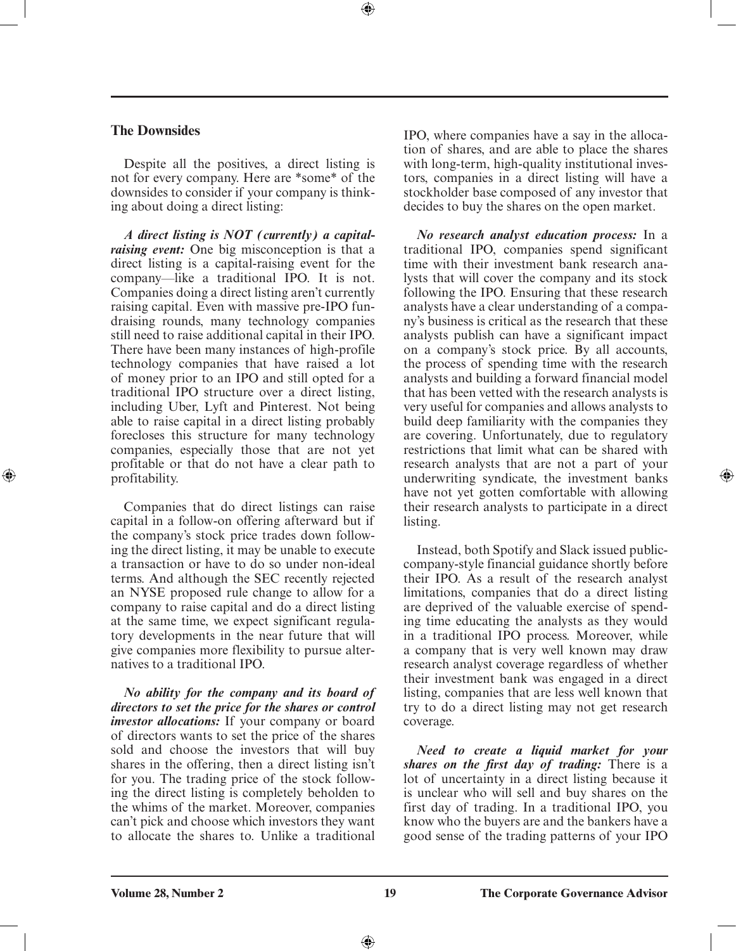#### **The Downsides**

⊕

Despite all the positives, a direct listing is not for every company. Here are \*some\* of the downsides to consider if your company is thinking about doing a direct listing:

*A direct listing is NOT (currently) a capitalraising event:* One big misconception is that a direct listing is a capital-raising event for the company—like a traditional IPO. It is not. Companies doing a direct listing aren't currently raising capital. Even with massive pre-IPO fundraising rounds, many technology companies still need to raise additional capital in their IPO. There have been many instances of high-profile technology companies that have raised a lot of money prior to an IPO and still opted for a traditional IPO structure over a direct listing, including Uber, Lyft and Pinterest. Not being able to raise capital in a direct listing probably forecloses this structure for many technology companies, especially those that are not yet profitable or that do not have a clear path to profitability.

Companies that do direct listings can raise capital in a follow-on offering afterward but if the company's stock price trades down following the direct listing, it may be unable to execute a transaction or have to do so under non-ideal terms. And although the SEC recently rejected an NYSE proposed rule change to allow for a company to raise capital and do a direct listing at the same time, we expect significant regulatory developments in the near future that will give companies more flexibility to pursue alternatives to a traditional IPO.

*No ability for the company and its board of directors to set the price for the shares or control investor allocations:* If your company or board of directors wants to set the price of the shares sold and choose the investors that will buy shares in the offering, then a direct listing isn't for you. The trading price of the stock following the direct listing is completely beholden to the whims of the market. Moreover, companies can't pick and choose which investors they want to allocate the shares to. Unlike a traditional

IPO, where companies have a say in the allocation of shares, and are able to place the shares with long-term, high-quality institutional investors, companies in a direct listing will have a stockholder base composed of any investor that decides to buy the shares on the open market.

*No research analyst education process:* In a traditional IPO, companies spend significant time with their investment bank research analysts that will cover the company and its stock following the IPO. Ensuring that these research analysts have a clear understanding of a company's business is critical as the research that these analysts publish can have a significant impact on a company's stock price. By all accounts, the process of spending time with the research analysts and building a forward financial model that has been vetted with the research analysts is very useful for companies and allows analysts to build deep familiarity with the companies they are covering. Unfortunately, due to regulatory restrictions that limit what can be shared with research analysts that are not a part of your underwriting syndicate, the investment banks have not yet gotten comfortable with allowing their research analysts to participate in a direct listing.

⊕

Instead, both Spotify and Slack issued publiccompany-style financial guidance shortly before their IPO. As a result of the research analyst limitations, companies that do a direct listing are deprived of the valuable exercise of spending time educating the analysts as they would in a traditional IPO process. Moreover, while a company that is very well known may draw research analyst coverage regardless of whether their investment bank was engaged in a direct listing, companies that are less well known that try to do a direct listing may not get research coverage.

*Need to create a liquid market for your shares on the first day of trading:* There is a lot of uncertainty in a direct listing because it is unclear who will sell and buy shares on the first day of trading. In a traditional IPO, you know who the buyers are and the bankers have a good sense of the trading patterns of your IPO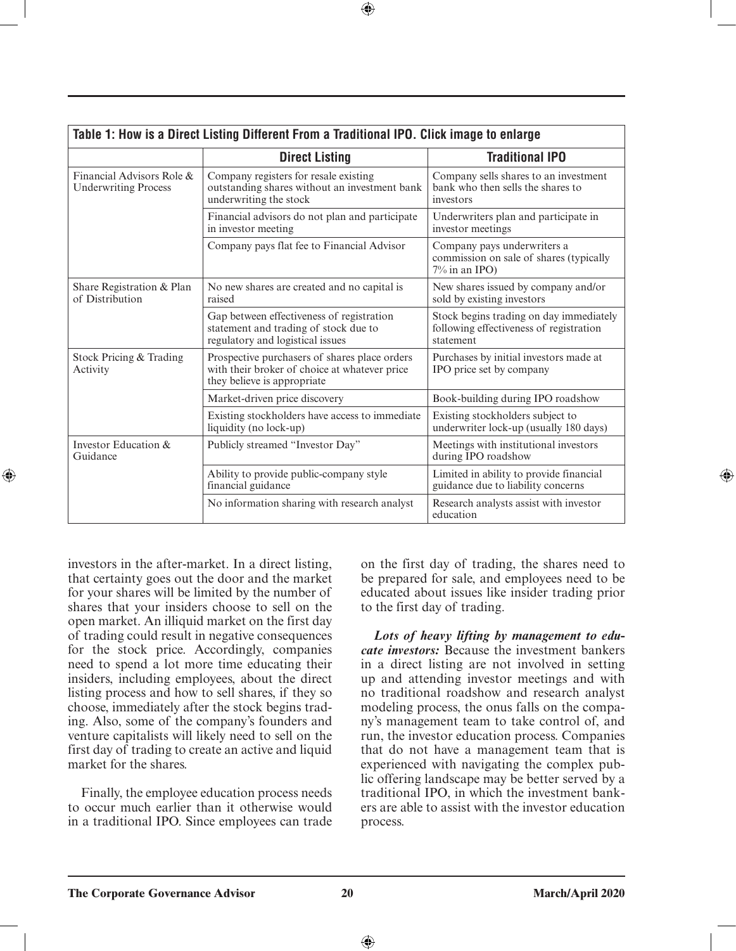| Table 1: How is a Direct Listing Different From a Traditional IPO. Click image to enlarge |                                                                                                                               |                                                                                                 |  |
|-------------------------------------------------------------------------------------------|-------------------------------------------------------------------------------------------------------------------------------|-------------------------------------------------------------------------------------------------|--|
|                                                                                           | <b>Direct Listing</b>                                                                                                         | <b>Traditional IPO</b>                                                                          |  |
| Financial Advisors Role &<br><b>Underwriting Process</b>                                  | Company registers for resale existing<br>outstanding shares without an investment bank<br>underwriting the stock              | Company sells shares to an investment<br>bank who then sells the shares to<br>investors         |  |
|                                                                                           | Financial advisors do not plan and participate<br>in investor meeting                                                         | Underwriters plan and participate in<br>investor meetings                                       |  |
|                                                                                           | Company pays flat fee to Financial Advisor                                                                                    | Company pays underwriters a<br>commission on sale of shares (typically<br>7% in an IPO)         |  |
| Share Registration & Plan<br>of Distribution                                              | No new shares are created and no capital is<br>raised                                                                         | New shares issued by company and/or<br>sold by existing investors                               |  |
|                                                                                           | Gap between effectiveness of registration<br>statement and trading of stock due to<br>regulatory and logistical issues        | Stock begins trading on day immediately<br>following effectiveness of registration<br>statement |  |
| Stock Pricing & Trading<br>Activity                                                       | Prospective purchasers of shares place orders<br>with their broker of choice at whatever price<br>they believe is appropriate | Purchases by initial investors made at<br>IPO price set by company                              |  |
|                                                                                           | Market-driven price discovery                                                                                                 | Book-building during IPO roadshow                                                               |  |
|                                                                                           | Existing stockholders have access to immediate<br>liquidity (no lock-up)                                                      | Existing stockholders subject to<br>underwriter lock-up (usually 180 days)                      |  |
| Investor Education &<br>Guidance                                                          | Publicly streamed "Investor Day"                                                                                              | Meetings with institutional investors<br>during IPO roadshow                                    |  |
|                                                                                           | Ability to provide public-company style<br>financial guidance                                                                 | Limited in ability to provide financial<br>guidance due to liability concerns                   |  |
|                                                                                           | No information sharing with research analyst                                                                                  | Research analysts assist with investor<br>education                                             |  |

 $\bigoplus$ 

investors in the after-market. In a direct listing, that certainty goes out the door and the market for your shares will be limited by the number of shares that your insiders choose to sell on the open market. An illiquid market on the first day of trading could result in negative consequences for the stock price. Accordingly, companies need to spend a lot more time educating their insiders, including employees, about the direct listing process and how to sell shares, if they so choose, immediately after the stock begins trading. Also, some of the company's founders and venture capitalists will likely need to sell on the first day of trading to create an active and liquid market for the shares.

⊕

Finally, the employee education process needs to occur much earlier than it otherwise would in a traditional IPO. Since employees can trade

on the first day of trading, the shares need to be prepared for sale, and employees need to be educated about issues like insider trading prior to the first day of trading.

*Lots of heavy lifting by management to educate investors:* Because the investment bankers in a direct listing are not involved in setting up and attending investor meetings and with no traditional roadshow and research analyst modeling process, the onus falls on the company's management team to take control of, and run, the investor education process. Companies that do not have a management team that is experienced with navigating the complex public offering landscape may be better served by a traditional IPO, in which the investment bankers are able to assist with the investor education process.

⊕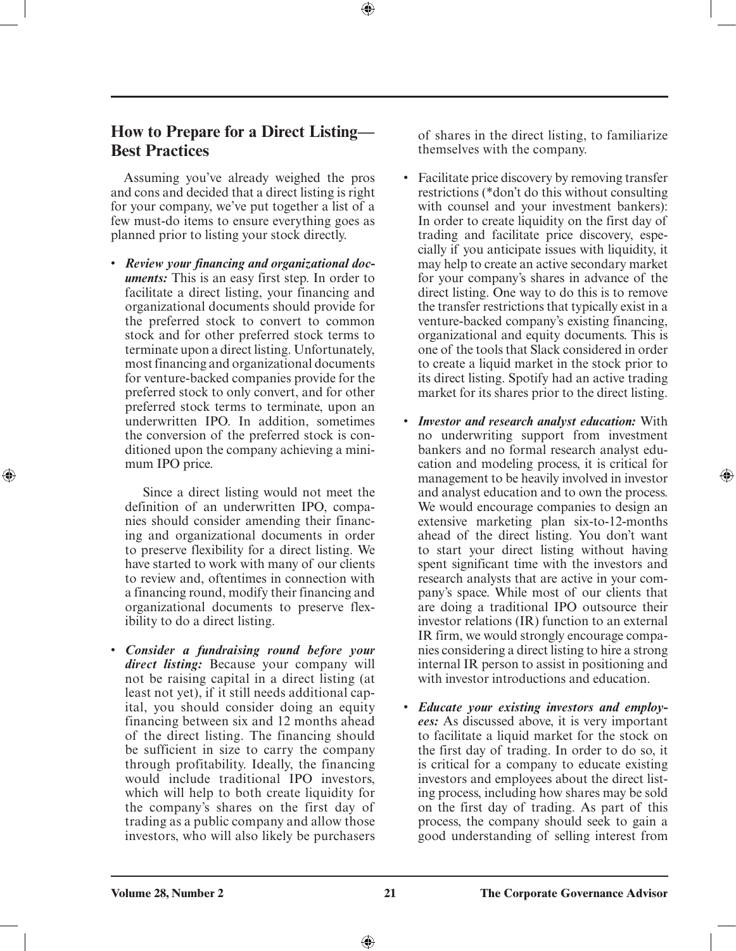### **How to Prepare for a Direct Listing— Best Practices**

Assuming you've already weighed the pros and cons and decided that a direct listing is right for your company, we've put together a list of a few must-do items to ensure everything goes as planned prior to listing your stock directly.

• *Review your financing and organizational documents:* This is an easy first step. In order to facilitate a direct listing, your financing and organizational documents should provide for the preferred stock to convert to common stock and for other preferred stock terms to terminate upon a direct listing. Unfortunately, most financing and organizational documents for venture-backed companies provide for the preferred stock to only convert, and for other preferred stock terms to terminate, upon an underwritten IPO. In addition, sometimes the conversion of the preferred stock is conditioned upon the company achieving a minimum IPO price.

 Since a direct listing would not meet the definition of an underwritten IPO, companies should consider amending their financing and organizational documents in order to preserve flexibility for a direct listing. We have started to work with many of our clients to review and, oftentimes in connection with a financing round, modify their financing and organizational documents to preserve flexibility to do a direct listing.

• *Consider a fundraising round before your direct listing:* Because your company will not be raising capital in a direct listing (at least not yet), if it still needs additional capital, you should consider doing an equity financing between six and 12 months ahead of the direct listing. The financing should be sufficient in size to carry the company through profitability. Ideally, the financing would include traditional IPO investors, which will help to both create liquidity for the company's shares on the first day of trading as a public company and allow those investors, who will also likely be purchasers

of shares in the direct listing, to familiarize themselves with the company.

- Facilitate price discovery by removing transfer restrictions (\*don't do this without consulting with counsel and your investment bankers): In order to create liquidity on the first day of trading and facilitate price discovery, especially if you anticipate issues with liquidity, it may help to create an active secondary market for your company's shares in advance of the direct listing. One way to do this is to remove the transfer restrictions that typically exist in a venture-backed company's existing financing, organizational and equity documents. This is one of the tools that Slack considered in order to create a liquid market in the stock prior to its direct listing. Spotify had an active trading market for its shares prior to the direct listing.
- *Investor and research analyst education:* With no underwriting support from investment bankers and no formal research analyst education and modeling process, it is critical for management to be heavily involved in investor and analyst education and to own the process. We would encourage companies to design an extensive marketing plan six-to-12-months ahead of the direct listing. You don't want to start your direct listing without having spent significant time with the investors and research analysts that are active in your company's space. While most of our clients that are doing a traditional IPO outsource their investor relations (IR) function to an external IR firm, we would strongly encourage companies considering a direct listing to hire a strong internal IR person to assist in positioning and with investor introductions and education.

⊕

• *Educate your existing investors and employees:* As discussed above, it is very important to facilitate a liquid market for the stock on the first day of trading. In order to do so, it is critical for a company to educate existing investors and employees about the direct listing process, including how shares may be sold on the first day of trading. As part of this process, the company should seek to gain a good understanding of selling interest from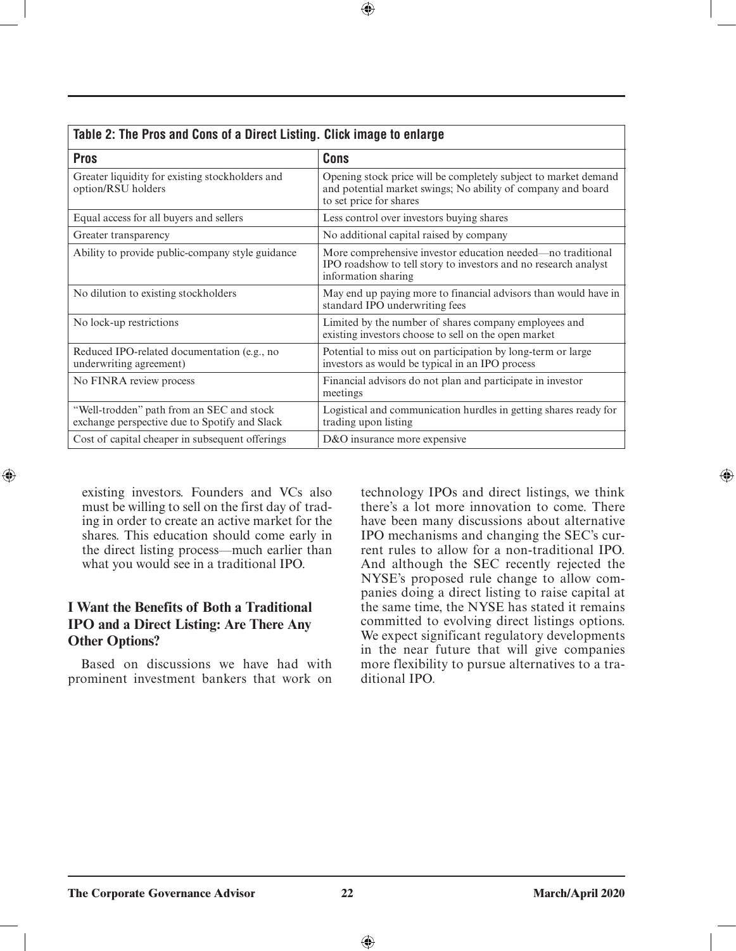| Table 2: The Pros and Cons of a Direct Listing. Click image to enlarge                     |                                                                                                                                                            |  |
|--------------------------------------------------------------------------------------------|------------------------------------------------------------------------------------------------------------------------------------------------------------|--|
| <b>Pros</b>                                                                                | <b>Cons</b>                                                                                                                                                |  |
| Greater liquidity for existing stockholders and<br>option/RSU holders                      | Opening stock price will be completely subject to market demand<br>and potential market swings; No ability of company and board<br>to set price for shares |  |
| Equal access for all buyers and sellers                                                    | Less control over investors buying shares                                                                                                                  |  |
| Greater transparency                                                                       | No additional capital raised by company                                                                                                                    |  |
| Ability to provide public-company style guidance                                           | More comprehensive investor education needed—no traditional<br>IPO roadshow to tell story to investors and no research analyst<br>information sharing      |  |
| No dilution to existing stockholders                                                       | May end up paying more to financial advisors than would have in<br>standard IPO underwriting fees                                                          |  |
| No lock-up restrictions                                                                    | Limited by the number of shares company employees and<br>existing investors choose to sell on the open market                                              |  |
| Reduced IPO-related documentation (e.g., no<br>underwriting agreement)                     | Potential to miss out on participation by long-term or large<br>investors as would be typical in an IPO process                                            |  |
| No FINRA review process                                                                    | Financial advisors do not plan and participate in investor<br>meetings                                                                                     |  |
| "Well-trodden" path from an SEC and stock<br>exchange perspective due to Spotify and Slack | Logistical and communication hurdles in getting shares ready for<br>trading upon listing                                                                   |  |
| Cost of capital cheaper in subsequent offerings                                            | D&O insurance more expensive                                                                                                                               |  |

 $\bigoplus$ 

existing investors. Founders and VCs also must be willing to sell on the first day of trading in order to create an active market for the shares. This education should come early in the direct listing process—much earlier than what you would see in a traditional IPO.

 $\bigoplus$ 

### **I Want the Benefits of Both a Traditional IPO and a Direct Listing: Are There Any Other Options?**

Based on discussions we have had with prominent investment bankers that work on

technology IPOs and direct listings, we think there's a lot more innovation to come. There have been many discussions about alternative IPO mechanisms and changing the SEC's current rules to allow for a non-traditional IPO. And although the SEC recently rejected the NYSE's proposed rule change to allow companies doing a direct listing to raise capital at the same time, the NYSE has stated it remains committed to evolving direct listings options. We expect significant regulatory developments in the near future that will give companies more flexibility to pursue alternatives to a traditional IPO.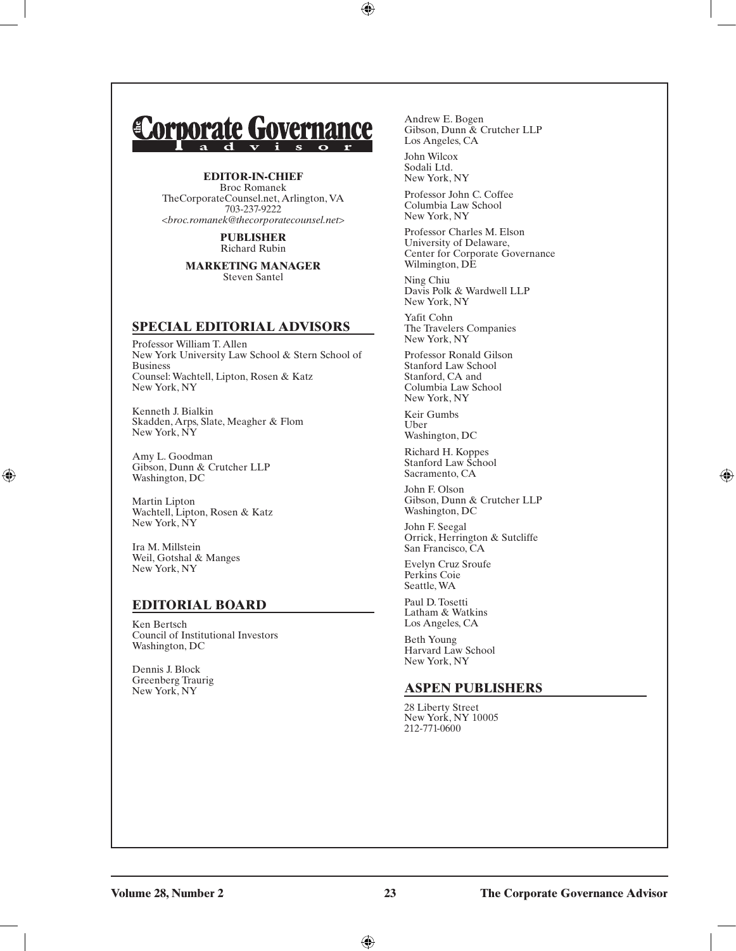# **Corporate Governance**

#### **EDITOR-IN-CHIEF**

Broc Romanek TheCorporateCounsel.net, Arlington, VA 703-237-9222 <*broc.romanek@thecorporatecounsel.net*>

> **PUBLISHER** Richard Rubin

**MARKETING MANAGER** Steven Santel

### **SPECIAL EDITORIAL ADVISORS**

Professor William T. Allen New York University Law School & Stern School of Business Counsel: Wachtell, Lipton, Rosen & Katz New York, NY

Kenneth J. Bialkin Skadden, Arps, Slate, Meagher & Flom New York, NY

Amy L. Goodman Gibson, Dunn & Crutcher LLP Washington, DC

Martin Lipton Wachtell, Lipton, Rosen & Katz New York, NY

Ira M. Millstein Weil, Gotshal & Manges New York, NY

 $\textcircled{\scriptsize\textsf{t}}$ 

### **EDITORIAL BOARD**

Ken Bertsch Council of Institutional Investors Washington, DC

Dennis J. Block Greenberg Traurig New York, NY

Andrew E. Bogen Gibson, Dunn & Crutcher LLP Los Angeles, CA

John Wilcox Sodali Ltd. New York, NY

 $\bigoplus$ 

Professor John C. Coffee Columbia Law School New York, NY

Professor Charles M. Elson University of Delaware, Center for Corporate Governance Wilmington, DE

Ning Chiu Davis Polk & Wardwell LLP New York, NY

Yafit Cohn The Travelers Companies New York, NY

Professor Ronald Gilson Stanford Law School Stanford, CA and Columbia Law School New York, NY

Keir Gumbs Uber Washington, DC

Richard H. Koppes Stanford Law School Sacramento, CA

John F. Olson Gibson, Dunn & Crutcher LLP Washington, DC

John F. Seegal Orrick, Herrington & Sutcliffe San Francisco, CA

Evelyn Cruz Sroufe Perkins Coie Seattle, WA

Paul D. Tosetti Latham & Watkins Los Angeles, CA

Beth Young Harvard Law School New York, NY

#### **ASPEN PUBLISHERS**

28 Liberty Street New York, NY 10005 212-771-0600